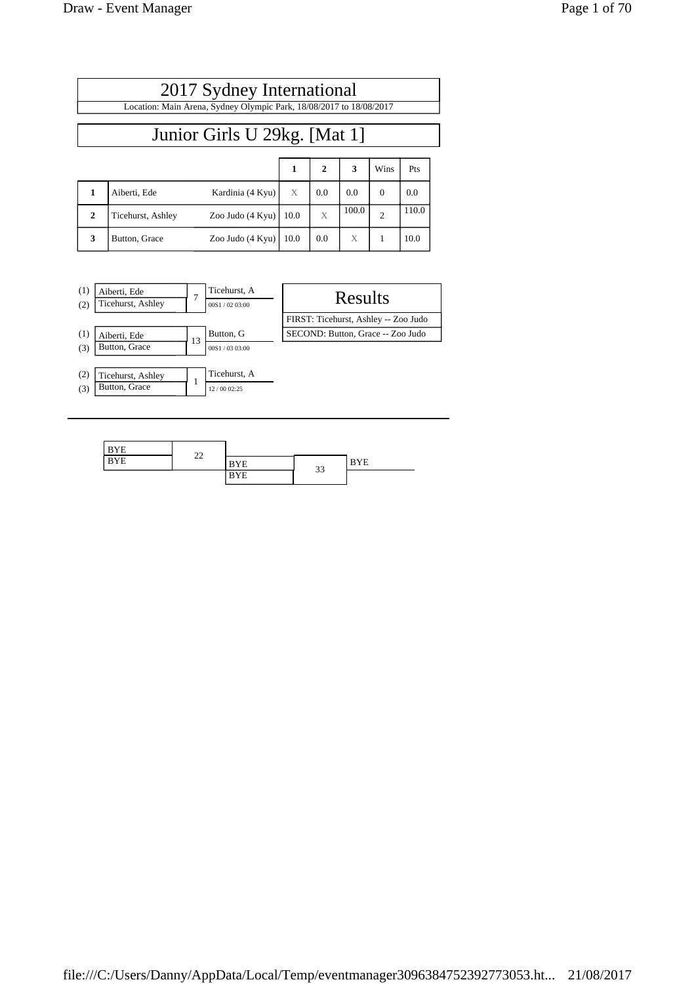|              | 2017 Sydney International                                           |                  |      |                |       |                |       |  |
|--------------|---------------------------------------------------------------------|------------------|------|----------------|-------|----------------|-------|--|
|              | Location: Main Arena, Sydney Olympic Park, 18/08/2017 to 18/08/2017 |                  |      |                |       |                |       |  |
|              | Junior Girls U 29kg. [Mat 1]                                        |                  |      |                |       |                |       |  |
|              |                                                                     |                  | 1    | $\overline{2}$ | 3     | Wins           | Pts   |  |
|              | Aiberti, Ede                                                        | Kardinia (4 Kyu) | X    | 0.0            | 0.0   | $\overline{0}$ | 0.0   |  |
| $\mathbf{2}$ | Ticehurst, Ashley                                                   | Zoo Judo (4 Kyu) | 10.0 | X              | 100.0 | $\overline{2}$ | 110.0 |  |

**3 Button, Grace** Zoo Judo (4 Kyu)  $\begin{array}{|c|c|c|c|c|c|c|c|} \hline \end{array}$  10.0 **x**  $\begin{array}{|c|c|c|c|c|c|} \hline \end{array}$  10.0



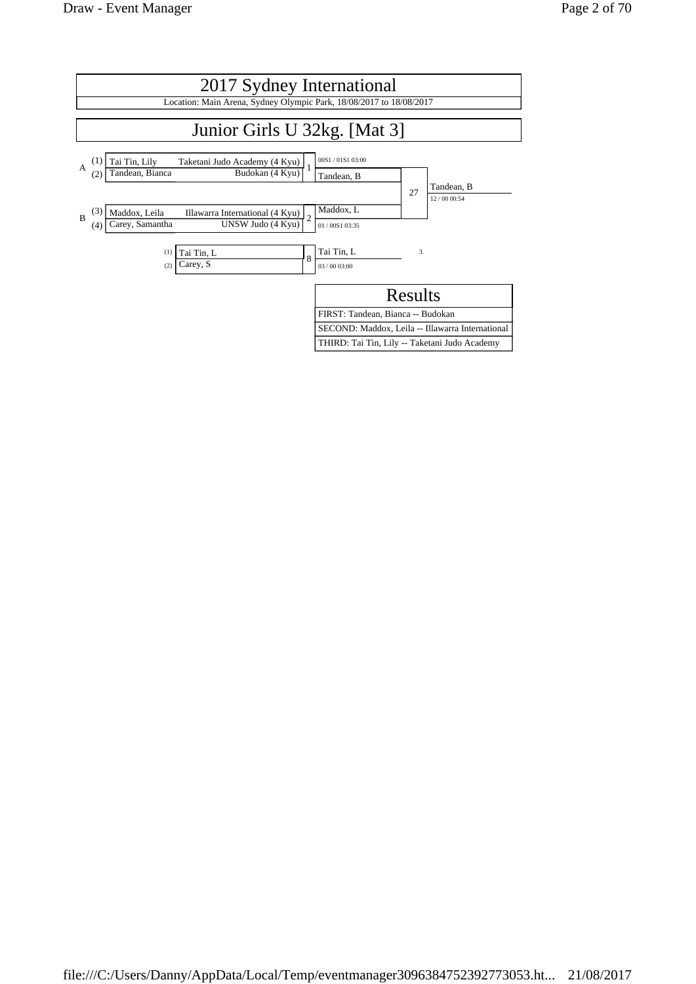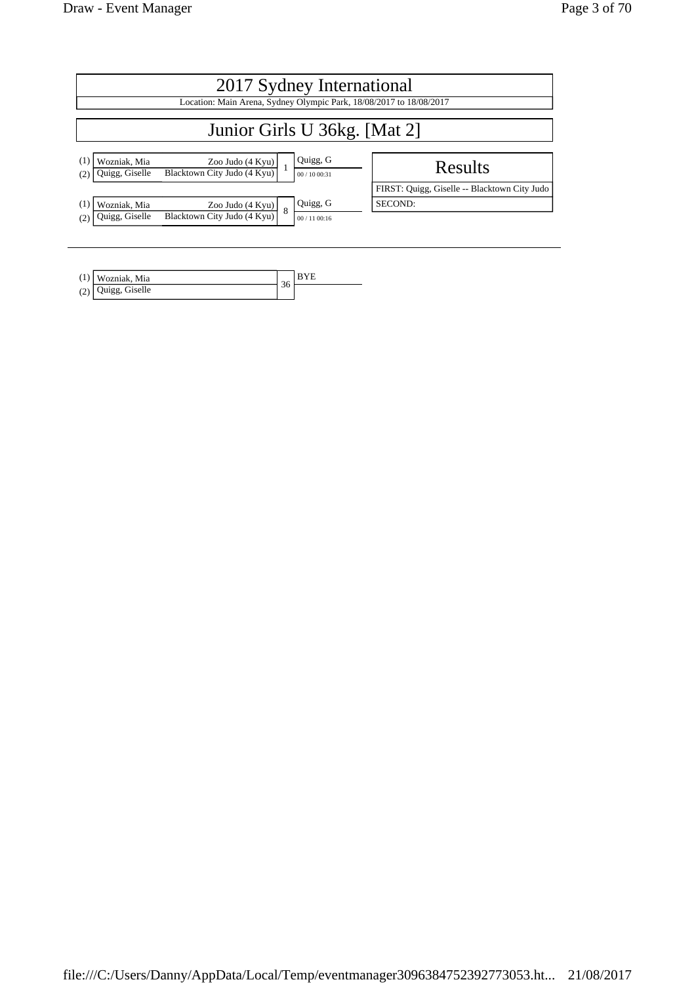| 2017 Sydney International                                                                     |   |                        |                                              |  |  |
|-----------------------------------------------------------------------------------------------|---|------------------------|----------------------------------------------|--|--|
| Location: Main Arena, Sydney Olympic Park, 18/08/2017 to 18/08/2017                           |   |                        |                                              |  |  |
| Junior Girls U 36kg. [Mat 2]                                                                  |   |                        |                                              |  |  |
| Wozniak, Mia<br>Zoo Judo $(4$ Kyu $)$<br>Blacktown City Judo (4 Kyu)<br>Quigg, Giselle<br>(2) |   | Quigg, G<br>00/1000:31 | Results                                      |  |  |
|                                                                                               |   |                        | FIRST: Quigg, Giselle -- Blacktown City Judo |  |  |
| Wozniak, Mia<br>Zoo Judo $(4$ Kyu $)$                                                         | 8 | Quigg, G               | SECOND:                                      |  |  |
| Blacktown City Judo (4 Kyu)<br>Quigg, Giselle<br>(2)                                          |   | 00/1100:16             |                                              |  |  |

| (1)        | Wozniak, Mia      | $\sim$ |  |
|------------|-------------------|--------|--|
| (2)<br>(4) | Giselle<br>Juigg, | JU.    |  |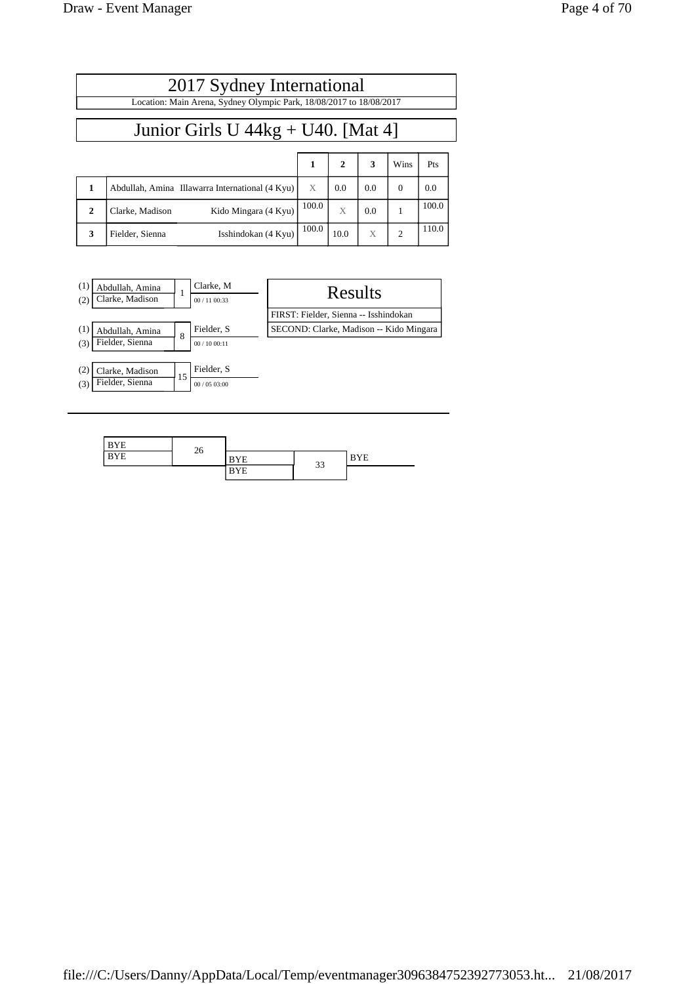|              | 2017 Sydney International                                           |       |      |     |                |       |
|--------------|---------------------------------------------------------------------|-------|------|-----|----------------|-------|
|              | Location: Main Arena, Sydney Olympic Park, 18/08/2017 to 18/08/2017 |       |      |     |                |       |
|              | Junior Girls U $44kg + U40$ . [Mat 4]                               |       |      |     |                |       |
|              |                                                                     | 1     | 2    | 3   | Wins           | Pts   |
| 1            | Abdullah, Amina Illawarra International (4 Kyu)                     | X     | 0.0  | 0.0 | $\Omega$       | 0.0   |
| $\mathbf{2}$ | Kido Mingara (4 Kyu)<br>Clarke, Madison                             | 100.0 | X    | 0.0 | 1              | 100.0 |
| 3            | Isshindokan (4 Kyu)<br>Fielder, Sienna                              | 100.0 | 10.0 | X   | $\overline{2}$ | 110.0 |



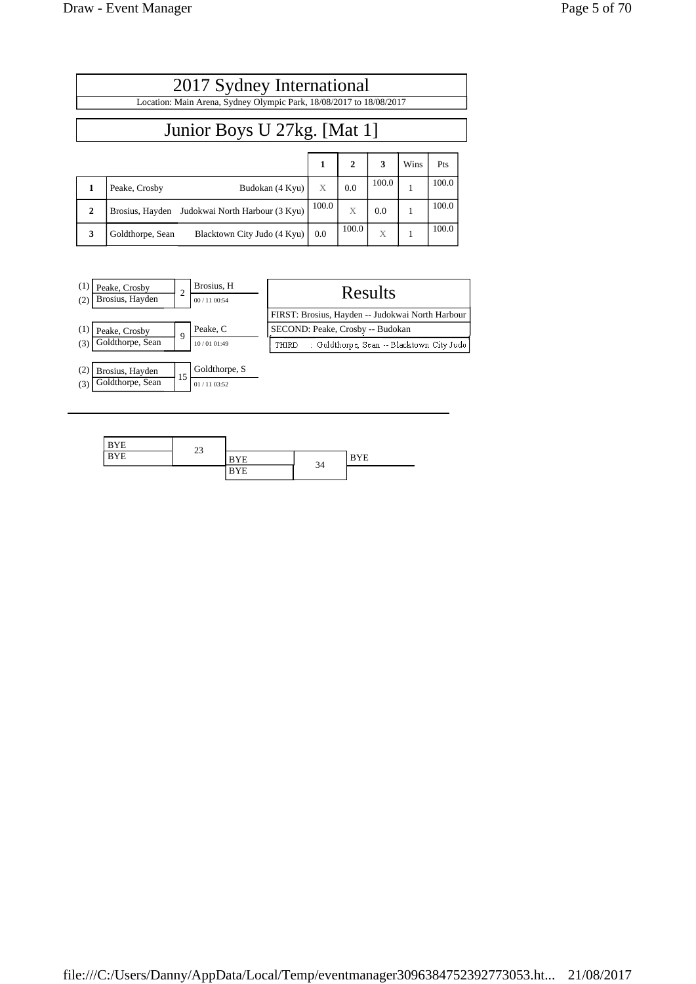|              | 2017 Sydney International                                           |       |              |       |      |       |  |
|--------------|---------------------------------------------------------------------|-------|--------------|-------|------|-------|--|
|              | Location: Main Arena, Sydney Olympic Park, 18/08/2017 to 18/08/2017 |       |              |       |      |       |  |
|              | Junior Boys U 27kg. [Mat 1]                                         |       |              |       |      |       |  |
|              |                                                                     | 1     | $\mathbf{2}$ | 3     | Wins | Pts   |  |
|              | Peake, Crosby<br>Budokan (4 Kyu)                                    | X     | 0.0          | 100.0 |      | 100.0 |  |
| $\mathbf{2}$ | Judokwai North Harbour (3 Kyu)<br>Brosius, Hayden                   | 100.0 | X            | 0.0   | 1    | 100.0 |  |
| 3            | Goldthorpe, Sean<br>Blacktown City Judo (4 Kyu)                     | 0.0   | 100.0        | X     | 1    | 100.0 |  |



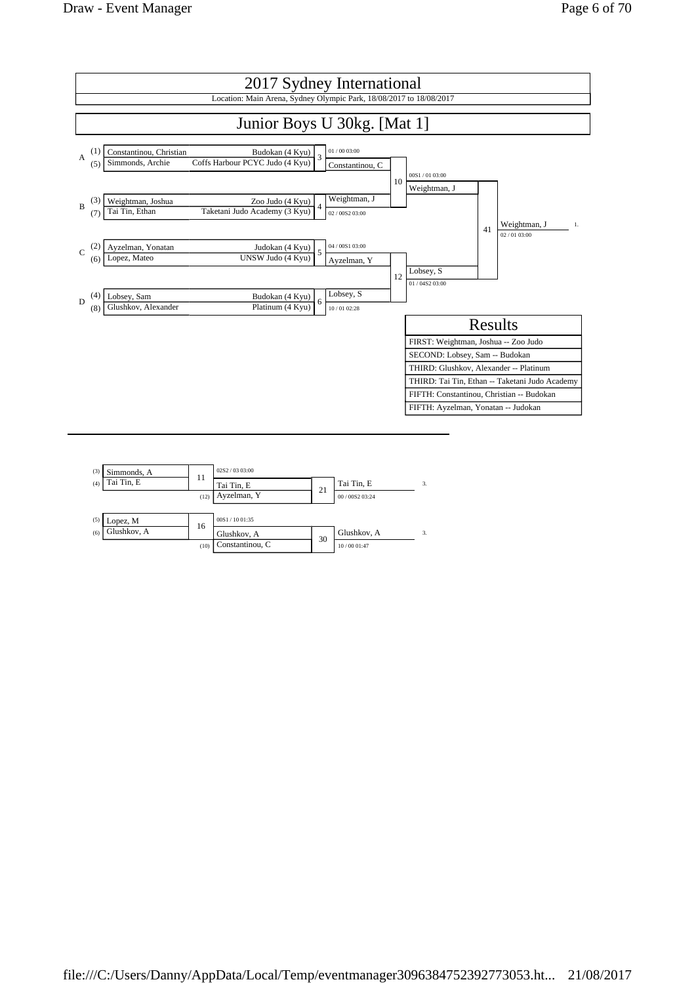

| (3) | Simmonds, A | 11   | 02S2 / 0303:00  |    |                 |    |
|-----|-------------|------|-----------------|----|-----------------|----|
| (4) | Tai Tin, E  |      | Tai Tin, E      |    | Tai Tin, E      | 3. |
|     |             | (12) | Ayzelman, Y     | 21 | 00 / 00S2 03:24 |    |
|     |             |      |                 |    |                 |    |
| (5) | Lopez, M    | 16   | 00S1 / 10 01:35 |    |                 |    |
| (6) | Glushkov, A |      | Glushkov, A     |    | Glushkov, A     | 3. |
|     |             | (10) | Constantinou, C | 30 | 10/00 01:47     |    |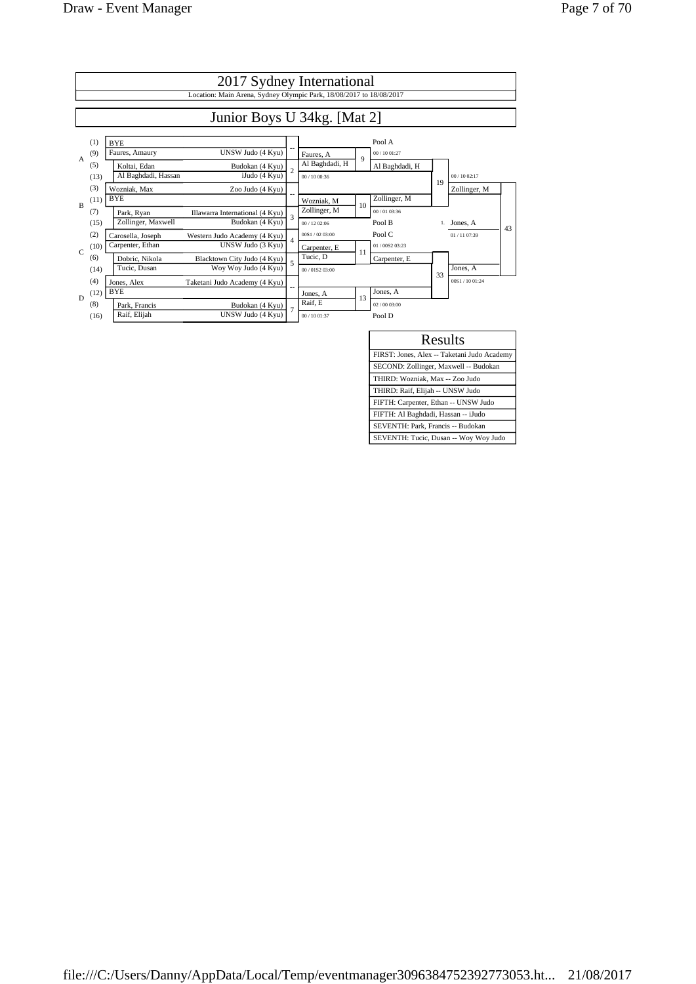|                | 2017 Sydney International                                           |                                                   |                          |                 |    |                |    |              |    |
|----------------|---------------------------------------------------------------------|---------------------------------------------------|--------------------------|-----------------|----|----------------|----|--------------|----|
|                | Location: Main Arena, Sydney Olympic Park, 18/08/2017 to 18/08/2017 |                                                   |                          |                 |    |                |    |              |    |
|                | Junior Boys U 34kg. [Mat 2]                                         |                                                   |                          |                 |    |                |    |              |    |
|                | (1)                                                                 | <b>BYE</b>                                        |                          |                 |    | Pool A         |    |              |    |
| $\overline{A}$ | (9)                                                                 | UNSW Judo (4 Kyu)<br>Faures, Amaury               |                          | Faures, A       | 9  | 00 / 10 01:27  |    |              |    |
|                | (5)                                                                 | Koltai, Edan<br>Budokan (4 Kyu)                   | $\overline{c}$           | Al Baghdadi, H  |    | Al Baghdadi, H |    |              |    |
|                | (13)                                                                | Al Baghdadi, Hassan<br>iJudo(4 Kyu)               |                          | 00 / 10 00:36   |    |                | 19 | 00/1002:17   |    |
|                | (3)                                                                 | Wozniak, Max<br>Zoo Judo (4 Kyu)                  |                          |                 |    |                |    | Zollinger, M |    |
| $\mathbf{B}$   | (11)                                                                | <b>BYE</b>                                        |                          | Wozniak, M      | 10 | Zollinger, M   |    |              |    |
|                | (7)                                                                 | Illawarra International (4 Kyu)<br>Park, Ryan     | $\overline{3}$           | Zollinger, M    |    | 00/01 03:36    |    |              |    |
|                | (15)                                                                | Zollinger, Maxwell<br>Budokan (4 Kyu)             |                          | 00/12.02:06     |    | Pool B         |    | 1. Jones, A  | 43 |
|                | (2)                                                                 | Carosella, Joseph<br>Western Judo Academy (4 Kyu) | $\overline{4}$           | 00S1 / 02.03:00 |    | Pool C         |    | 01/1107.39   |    |
| $\mathbf C$    | (10)                                                                | Carpenter, Ethan<br>UNSW Judo (3 Kyu)             |                          | Carpenter, E    | 11 | 01/0082 03:23  |    |              |    |
|                | (6)                                                                 | Blacktown City Judo (4 Kyu)<br>Dobric, Nikola     | $\overline{\phantom{a}}$ | Tucic, D        |    | Carpenter, E   |    |              |    |
|                | (14)                                                                | Wov Wov Judo (4 Kvu)<br>Tucic, Dusan              |                          | 00/0152.03:00   |    |                | 33 | Jones, A     |    |
|                | (4)                                                                 | Taketani Judo Academy (4 Kyu)<br>Jones, Alex      |                          |                 |    |                |    | 00S1/1001:24 |    |
| D              | (12)                                                                | <b>BYE</b>                                        |                          | Jones, A        | 13 | Jones, A       |    |              |    |
|                | (8)                                                                 | Park. Francis<br>Budokan (4 Kyu)                  | $\overline{7}$           | Raif. E         |    | 02/0003:00     |    |              |    |
|                | (16)                                                                | Raif, Elijah<br>UNSW Judo (4 Kyu)                 |                          | 00 / 10 01:37   |    | Pool D         |    |              |    |

| Results                                     |
|---------------------------------------------|
| FIRST: Jones, Alex -- Taketani Judo Academy |
| SECOND: Zollinger, Maxwell -- Budokan       |
| THIRD: Wozniak, Max -- Zoo Judo             |
| THIRD: Raif, Elijah -- UNSW Judo            |
| FIFTH: Carpenter, Ethan -- UNSW Judo        |
| FIFTH: Al Baghdadi, Hassan -- iJudo         |
| SEVENTH: Park, Francis -- Budokan           |
| SEVENTH: Tucic, Dusan -- Woy Woy Judo       |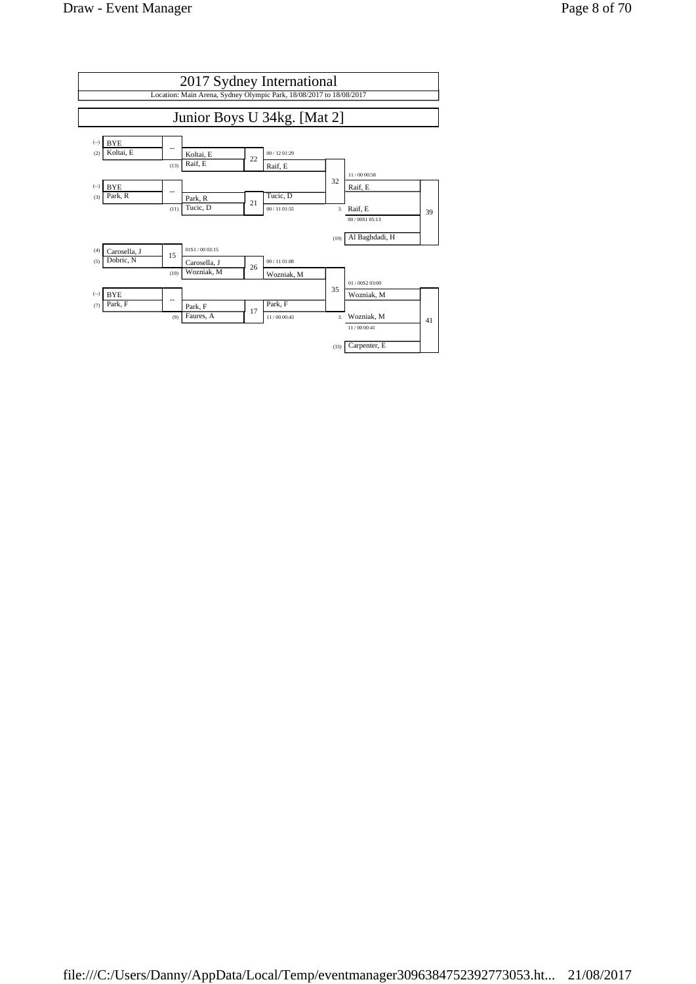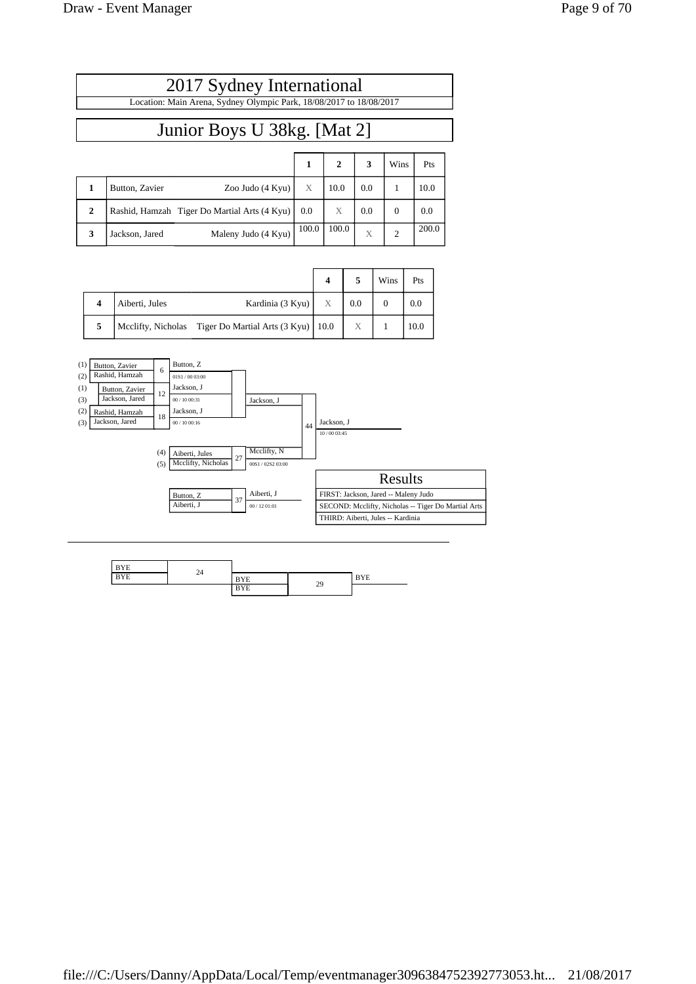| 2017 Sydney International                                           |                                       |  |              |         |      |      |  |
|---------------------------------------------------------------------|---------------------------------------|--|--------------|---------|------|------|--|
| Location: Main Arena, Sydney Olympic Park, 18/08/2017 to 18/08/2017 |                                       |  |              |         |      |      |  |
|                                                                     | Junior Boys U 38kg. [Mat 2]           |  |              |         |      |      |  |
|                                                                     |                                       |  | $\mathbf{2}$ | 3       | Wins | Pts  |  |
| Button, Zavier                                                      | Zoo Judo (4 Kyu) $\mid$ X $\mid$ 10.0 |  |              | $0.0\,$ |      | 10.0 |  |

| 3 | Jackson, Jared | Maleny Judo (4 Kyu) | $100.0$   100.0 | X   | 2    | 200.0 |  |
|---|----------------|---------------------|-----------------|-----|------|-------|--|
|   |                |                     |                 |     |      |       |  |
|   |                |                     | 4               | 5   | Wins | Pts   |  |
|   | .<br>.         | $- -$               | $ -$            | . . | -    | --    |  |

**2 Rashid, Hamzah Tiger Do Martial Arts**  $(4 \text{ Kyu}) \begin{bmatrix} 0.0 \end{bmatrix} \begin{bmatrix} X \end{bmatrix} \begin{bmatrix} 0.0 \end{bmatrix} \begin{bmatrix} 0.0 \end{bmatrix}$ 

|                |                                                         |   |     | ,, ,,,,, | .    |
|----------------|---------------------------------------------------------|---|-----|----------|------|
| Aiberti, Jules | Kardinia (3 Kyu)                                        | X | 0.0 |          |      |
|                | Mcclifty, Nicholas Tiger Do Martial Arts (3 Kyu)   10.0 |   |     |          | 10.0 |



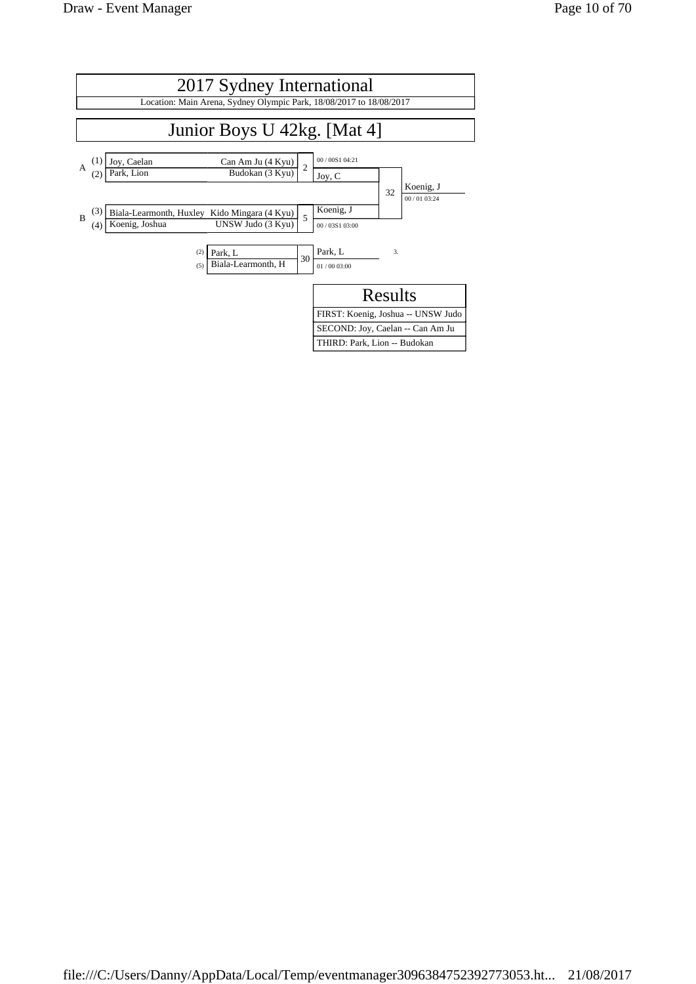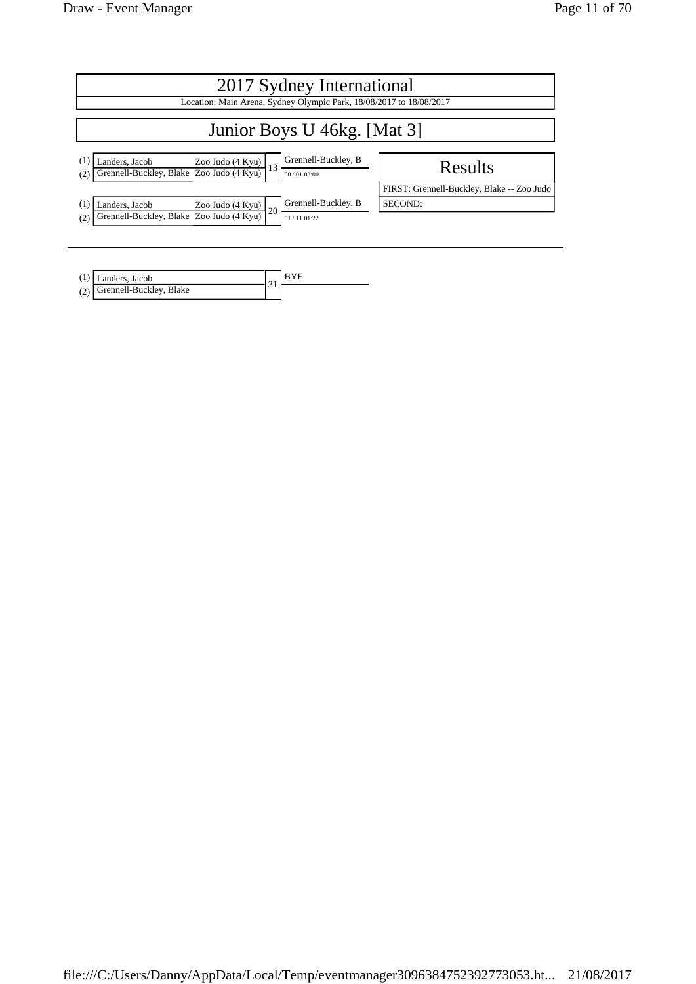| 2017 Sydney International                                                                                                                             |                                            |  |  |  |  |
|-------------------------------------------------------------------------------------------------------------------------------------------------------|--------------------------------------------|--|--|--|--|
| Location: Main Arena, Sydney Olympic Park, 18/08/2017 to 18/08/2017                                                                                   |                                            |  |  |  |  |
| Junior Boys U 46kg. [Mat 3]                                                                                                                           |                                            |  |  |  |  |
| Grennell-Buckley, B<br>(1)<br>$\frac{\text{Landers, Jacob}}{\text{Greennell-Buckley, Blake } \text{Zoo Judo (4 Kyu)} } \Big  13$<br>(2)<br>00/0103:00 | Results                                    |  |  |  |  |
|                                                                                                                                                       | FIRST: Grennell-Buckley, Blake -- Zoo Judo |  |  |  |  |
| Grennell-Buckley, B<br>(1)<br>Landers, Jacob<br>$Zoo$ Judo $(4$ Kyu)<br><sup>20</sup>                                                                 | SECOND:                                    |  |  |  |  |
| Grennell-Buckley, Blake Zoo Judo (4 Kyu)<br>(2)<br>01/1101:22                                                                                         |                                            |  |  |  |  |

| $(1)$ Landers, Jacob        |  |
|-----------------------------|--|
| (2) Grennell-Buckley, Blake |  |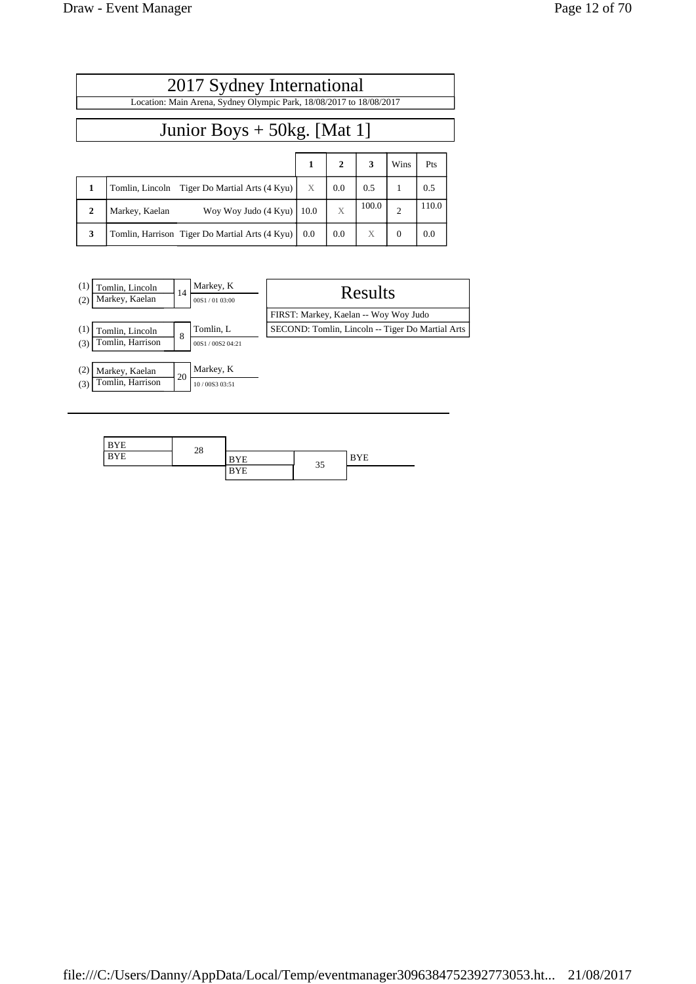|              | 2017 Sydney International                                           |      |              |       |                |       |  |  |  |
|--------------|---------------------------------------------------------------------|------|--------------|-------|----------------|-------|--|--|--|
|              | Location: Main Arena, Sydney Olympic Park, 18/08/2017 to 18/08/2017 |      |              |       |                |       |  |  |  |
|              | Junior Boys $+$ 50kg. [Mat 1]                                       |      |              |       |                |       |  |  |  |
|              |                                                                     | 1    | $\mathbf{2}$ | 3     | Wins           | Pts   |  |  |  |
| 1            | Tomlin, Lincoln Tiger Do Martial Arts (4 Kyu)                       | X    | 0.0          | 0.5   | 1              | 0.5   |  |  |  |
| $\mathbf{2}$ | Woy Woy Judo (4 Kyu)<br>Markey, Kaelan                              | 10.0 | X            | 100.0 | $\overline{2}$ | 110.0 |  |  |  |
| 3            | Tomlin, Harrison Tiger Do Martial Arts (4 Kyu)                      | 0.0  | 0.0          | X     | $\theta$       | 0.0   |  |  |  |



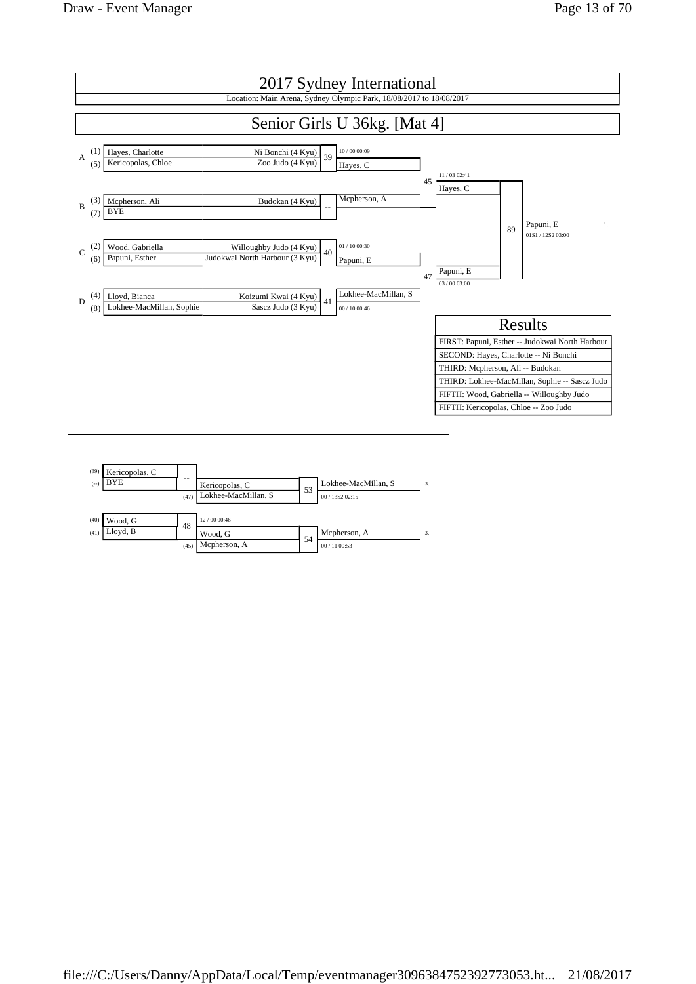



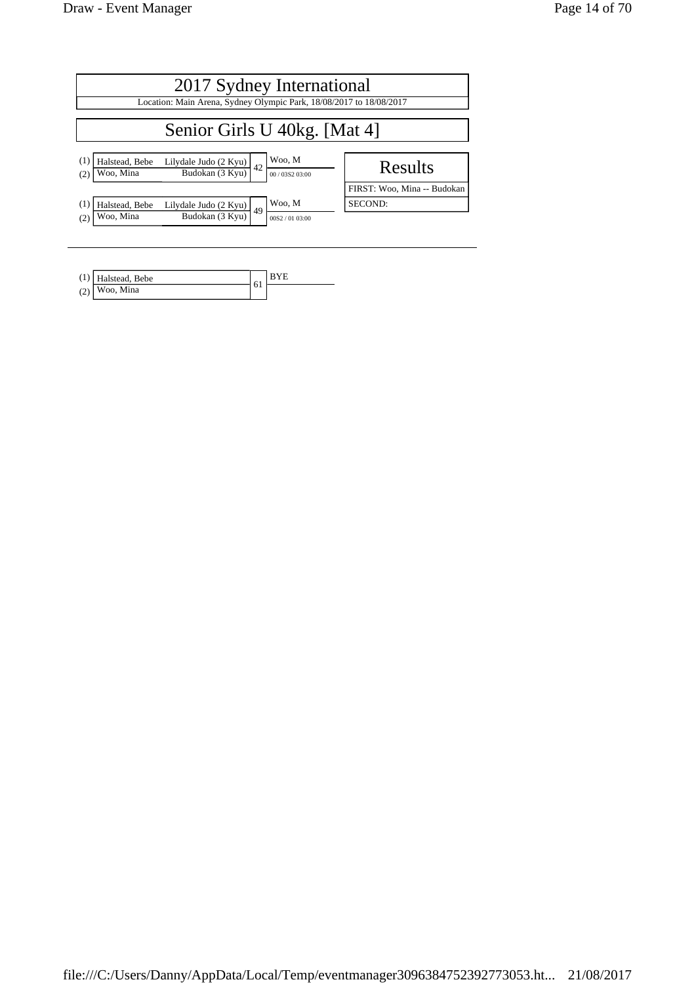| 2017 Sydney International<br>Location: Main Arena, Sydney Olympic Park, 18/08/2017 to 18/08/2017                        |                             |  |  |  |  |  |
|-------------------------------------------------------------------------------------------------------------------------|-----------------------------|--|--|--|--|--|
|                                                                                                                         |                             |  |  |  |  |  |
| Senior Girls U 40kg. [Mat 4]                                                                                            |                             |  |  |  |  |  |
| Woo, M<br>(1)<br>Halstead, Bebe<br>Lilydale Judo (2 Kyu)<br>42<br>Budokan (3 Kyu)<br>Woo, Mina<br>(2)<br>00/03S2 03:00  | Results                     |  |  |  |  |  |
|                                                                                                                         | FIRST: Woo, Mina -- Budokan |  |  |  |  |  |
| Woo, M<br>(1)<br>Lilydale Judo (2 Kyu)<br>Halstead, Bebe<br>49<br>Budokan (3 Kyu)<br>Woo, Mina<br>(2)<br>00S2 / 0103:00 | SECOND:                     |  |  |  |  |  |

| Halstead, Bebe  | 6 <sub>1</sub> |  |
|-----------------|----------------|--|
| $(2)$ Woo, Mina |                |  |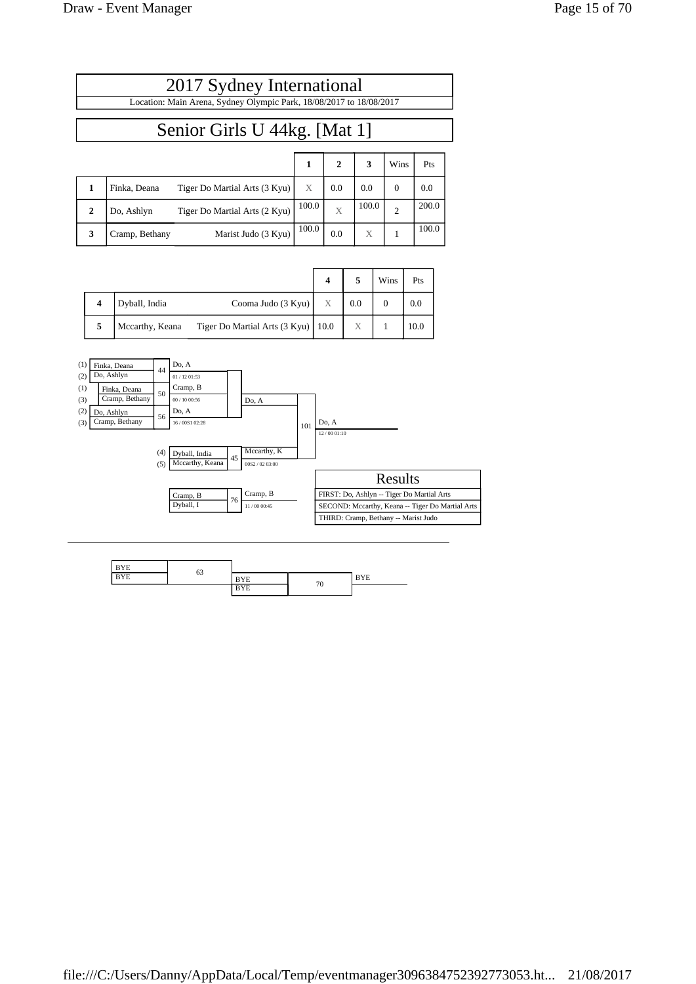| 2017 Sydney International                                           |  |  |  |  |  |  |
|---------------------------------------------------------------------|--|--|--|--|--|--|
| Location: Main Arena, Sydney Olympic Park, 18/08/2017 to 18/08/2017 |  |  |  |  |  |  |
| Senior Girls U 44kg. [Mat 1]                                        |  |  |  |  |  |  |
|                                                                     |  |  |  |  |  |  |
| Pts                                                                 |  |  |  |  |  |  |

| Finka, Deana   | Tiger Do Martial Arts (3 Kyu) | X     | 0.0 | 0.0   | 0.0   |
|----------------|-------------------------------|-------|-----|-------|-------|
| Do, Ashlyn     | Tiger Do Martial Arts (2 Kyu) | 100.0 |     | 100.0 | 200.0 |
| Cramp, Bethany | Marist Judo (3 Kyu)           | 100.0 | 0.0 | X     | 100.0 |

|   |                 |                                      |   |     | Wins | Pts  |
|---|-----------------|--------------------------------------|---|-----|------|------|
| 4 | Dyball, India   | Cooma Judo (3 Kyu)                   | X | 0.0 |      | 0.0  |
| 5 | Mccarthy, Keana | Tiger Do Martial Arts $(3 Kyu)$ 10.0 |   | X   |      | 10.0 |



| <b>BYE</b> |    |            |    |            |
|------------|----|------------|----|------------|
| <b>BYE</b> | 63 | <b>BYE</b> |    | <b>BYE</b> |
|            |    | <b>BYE</b> | 70 |            |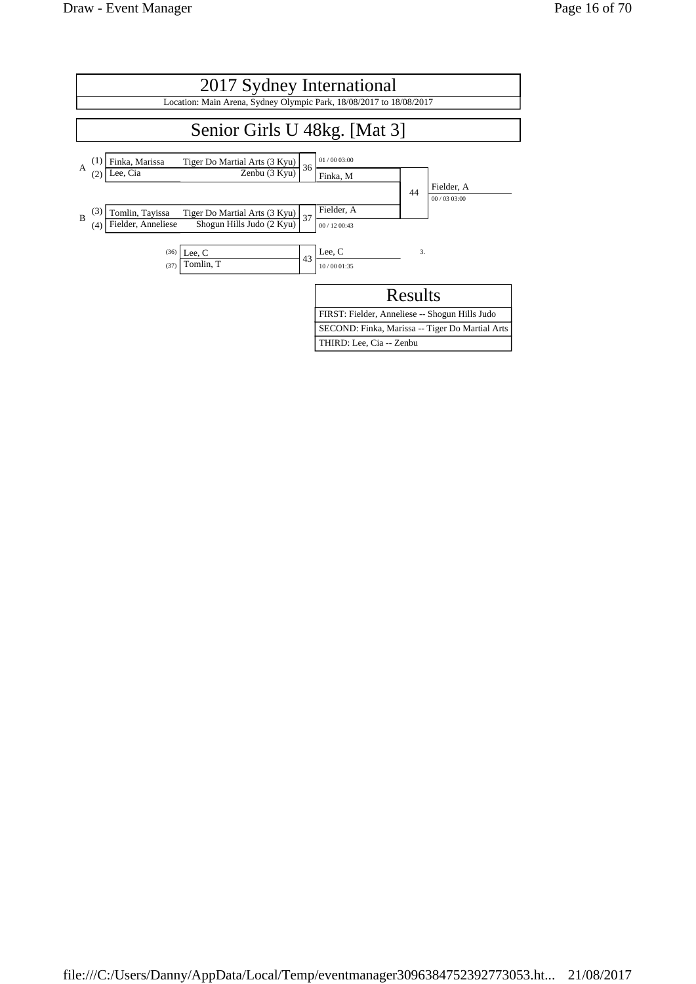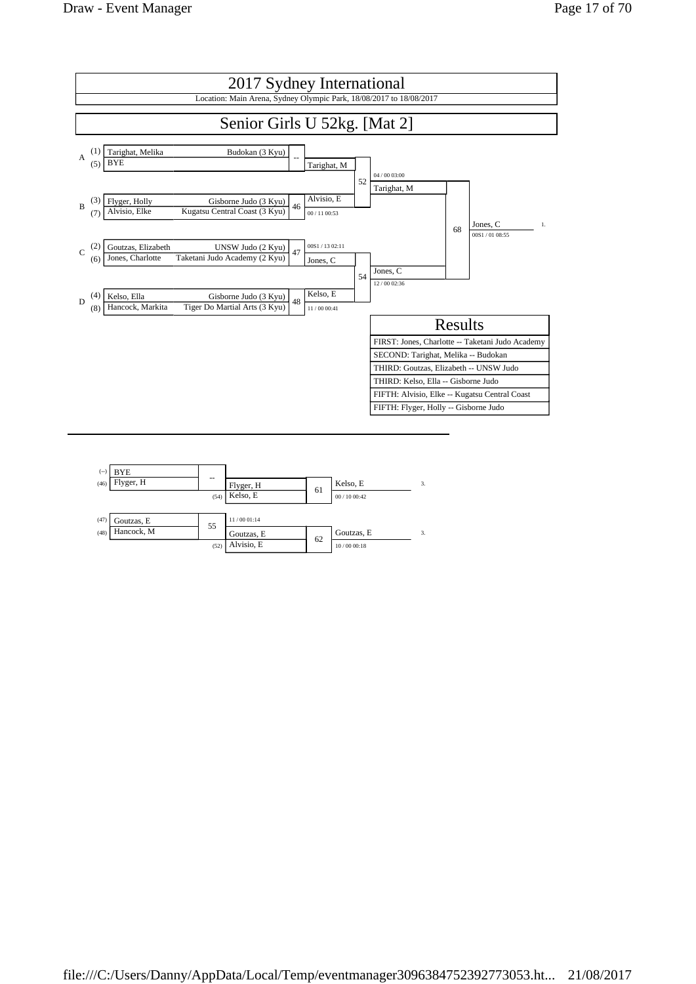

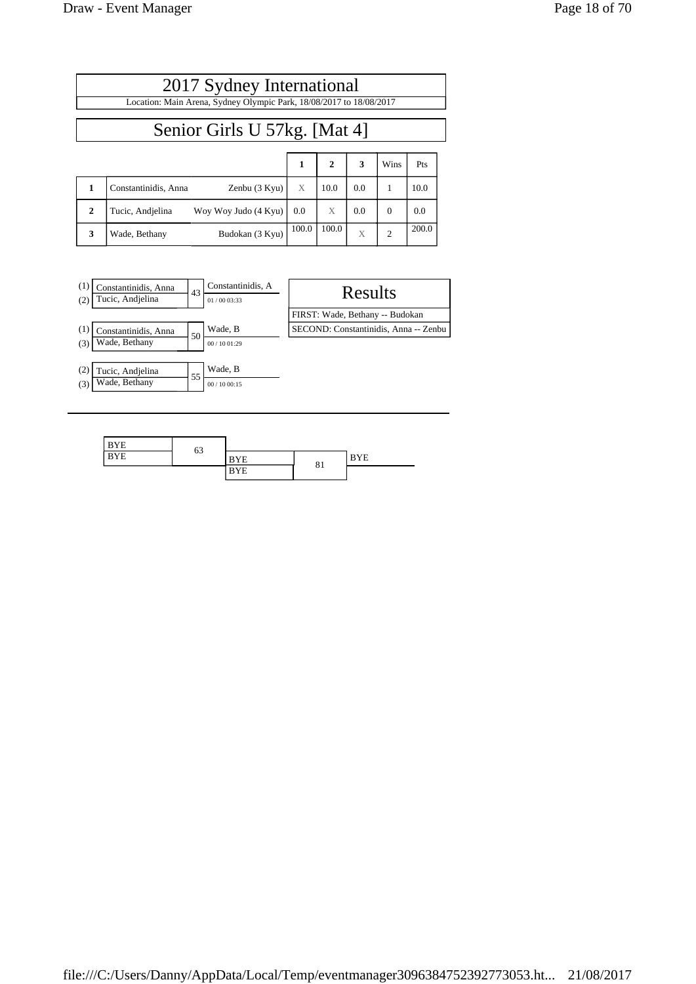|              | 2017 Sydney International                                           |   |              |     |      |      |  |  |  |
|--------------|---------------------------------------------------------------------|---|--------------|-----|------|------|--|--|--|
|              | Location: Main Arena, Sydney Olympic Park, 18/08/2017 to 18/08/2017 |   |              |     |      |      |  |  |  |
|              | Senior Girls U 57kg. [Mat 4]                                        |   |              |     |      |      |  |  |  |
|              |                                                                     | 1 | $\mathbf{2}$ | 3   | Wins | Pts  |  |  |  |
| 1            | Constantinidis, Anna<br>Zenbu (3 Kyu)                               | X | 10.0         | 0.0 |      | 10.0 |  |  |  |
| $\mathbf{2}$ | Tucic, Andjelina<br>Woy Woy Judo $(4 \text{ Kyu})$ 0.0              |   |              | 0.0 |      | 0.0  |  |  |  |

**3** Wade, Bethany Budokan (3 Kyu)  $\begin{array}{|c|c|c|c|c|c|c|c|} \hline \end{array}$  200.0



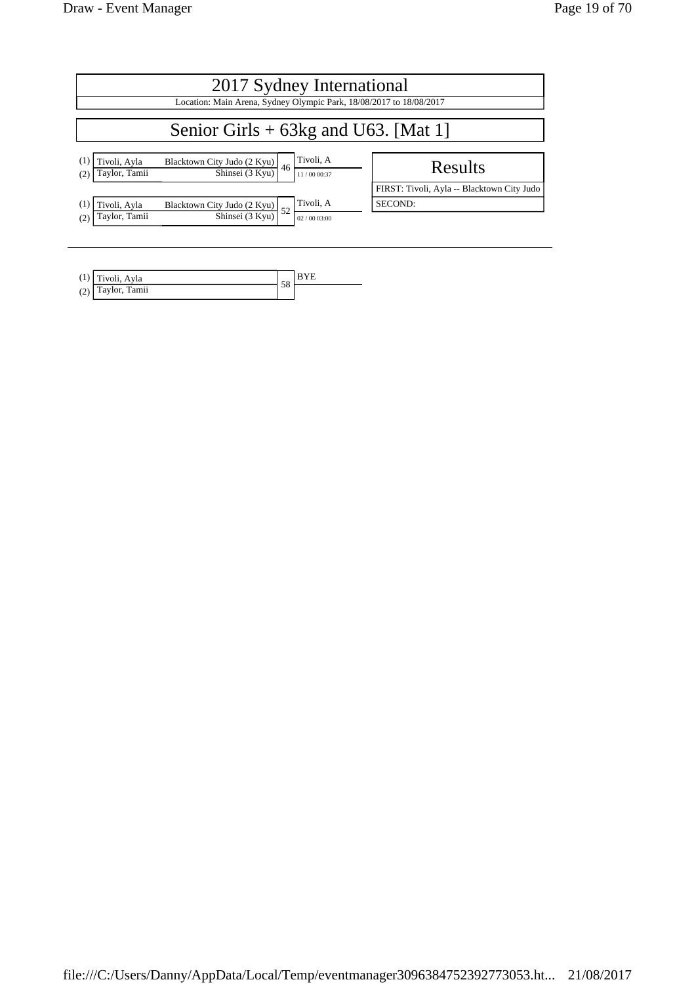| 2017 Sydney International              |                                                                                                |                          |                                            |  |  |  |  |
|----------------------------------------|------------------------------------------------------------------------------------------------|--------------------------|--------------------------------------------|--|--|--|--|
|                                        | Location: Main Arena, Sydney Olympic Park, 18/08/2017 to 18/08/2017                            |                          |                                            |  |  |  |  |
| Senior Girls $+$ 63kg and U63. [Mat 1] |                                                                                                |                          |                                            |  |  |  |  |
| Tivoli, Ayla<br>Taylor, Tamii          | $\frac{\text{Blacktown City Judo } (2 \text{ Kyu})}{\text{Shinsei } (3 \text{ Kyu})} \Big  46$ | Tivoli, A<br>11/00 00:37 | Results                                    |  |  |  |  |
|                                        |                                                                                                |                          | FIRST: Tivoli, Ayla -- Blacktown City Judo |  |  |  |  |
| Tivoli, Ayla                           | $\frac{\text{Blacktown City Judo } (2 \text{ Kyu})}{\text{Shinsei } (3 \text{ Kyu})}$ 52       | Tivoli, A                | SECOND:                                    |  |  |  |  |
| Taylor, Tamii<br>(2)                   |                                                                                                | 02/0003:00               |                                            |  |  |  |  |
|                                        |                                                                                                |                          |                                            |  |  |  |  |

| (1) | Tivoli, Ayla     | 58 |  |
|-----|------------------|----|--|
| (2) | Tamii<br>Taylor, |    |  |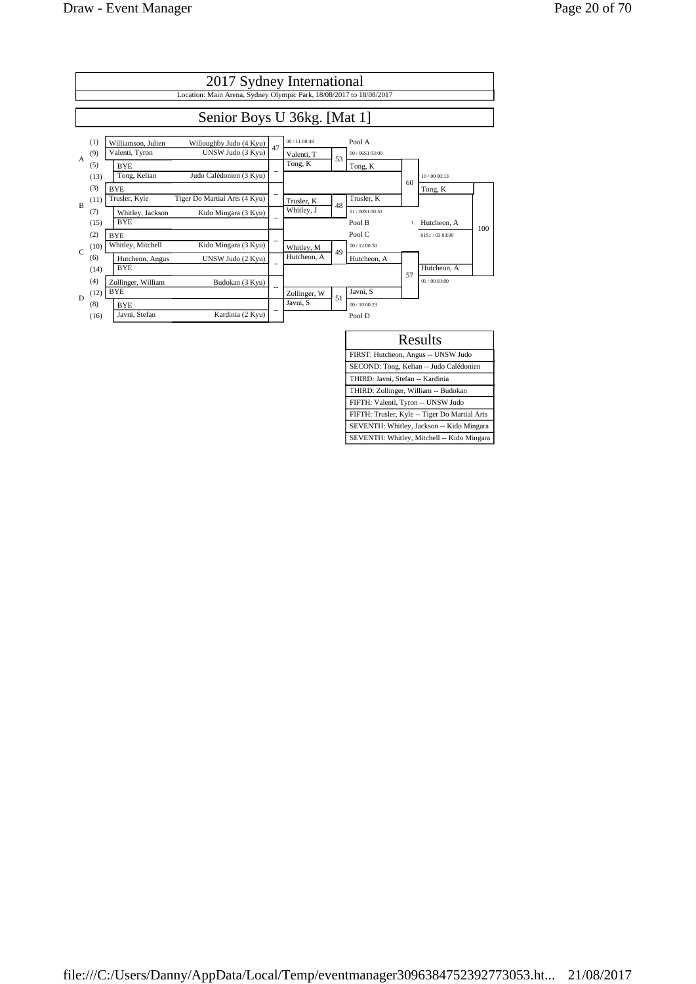|               | 2017 Sydney International                                                                          |                |                          |    |                           |    |                 |     |  |  |
|---------------|----------------------------------------------------------------------------------------------------|----------------|--------------------------|----|---------------------------|----|-----------------|-----|--|--|
|               | Location: Main Arena, Sydney Olympic Park, 18/08/2017 to 18/08/2017                                |                |                          |    |                           |    |                 |     |  |  |
|               | Senior Boys U 36kg. [Mat 1]                                                                        |                |                          |    |                           |    |                 |     |  |  |
| $\mathsf{A}$  | (1)<br>Williamson, Julien<br>Willoughby Judo (4 Kyu)<br>Valenti, Tyron<br>UNSW Judo (3 Kyu)<br>(9) | 47             | 00/1100:48<br>Valenti, T | 53 | Pool A<br>00 / 06S1 03:00 |    |                 |     |  |  |
|               | (5)<br><b>BYE</b><br>Tong, Kelian<br>Judo Calédonien (3 Kyu)<br>(13)                               |                | Tong, K                  |    | Tong, K                   | 60 | 10/00 00:13     |     |  |  |
| $\mathbf{B}$  | (3)<br><b>BYE</b><br>Trusler, Kyle<br>Tiger Do Martial Arts (4 Kyu)<br>(11)                        | $\overline{a}$ | Trusler, K               | 48 | Trusler, K                |    | Tong, K         |     |  |  |
|               | (7)<br>Whitley, Jackson<br>Kido Mingara (3 Kyu)<br><b>BYE</b><br>(15)                              | $-$            | Whitley, J               |    | 11/00S1 00:51<br>Pool B   |    | Hutcheon, A     | 100 |  |  |
| $\mathcal{C}$ | (2)<br><b>BYE</b><br>Whitley, Mitchell<br>Kido Mingara (3 Kyu)<br>(10)                             |                | Whitley, M               | 49 | Pool C<br>00 / 12 00:50   |    | 0151 / 03 03:00 |     |  |  |
|               | (6)<br>Hutcheon, Angus<br>UNSW Judo (2 Kyu)<br><b>BYE</b><br>(14)                                  | $\overline{a}$ | Hutcheon. A              |    | Hutcheon, A               | 57 | Hutcheon, A     |     |  |  |
| D             | (4)<br>Zollinger, William<br>Budokan (3 Kyu)<br><b>BYE</b><br>(12)                                 | $\overline{a}$ | Zollinger, W             | 51 | Javni, S                  |    | 01/0003:00      |     |  |  |
|               | (8)<br><b>BYE</b><br>Kardinia (2 Kyu)<br>Javni, Stefan<br>(16)                                     | $-$            | Javni, S                 |    | 00/1000:23<br>Pool D      |    |                 |     |  |  |

| Results                                       |
|-----------------------------------------------|
| FIRST: Hutcheon, Angus -- UNSW Judo           |
| SECOND: Tong, Kelian -- Judo Calédonien       |
| THIRD: Javni, Stefan -- Kardinia              |
| THIRD: Zollinger, William -- Budokan          |
| FIFTH: Valenti, Tyron -- UNSW Judo            |
| FIFTH: Trusler, Kyle -- Tiger Do Martial Arts |
| SEVENTH: Whitley, Jackson -- Kido Mingara     |
| SEVENTH: Whitley, Mitchell -- Kido Mingara    |
|                                               |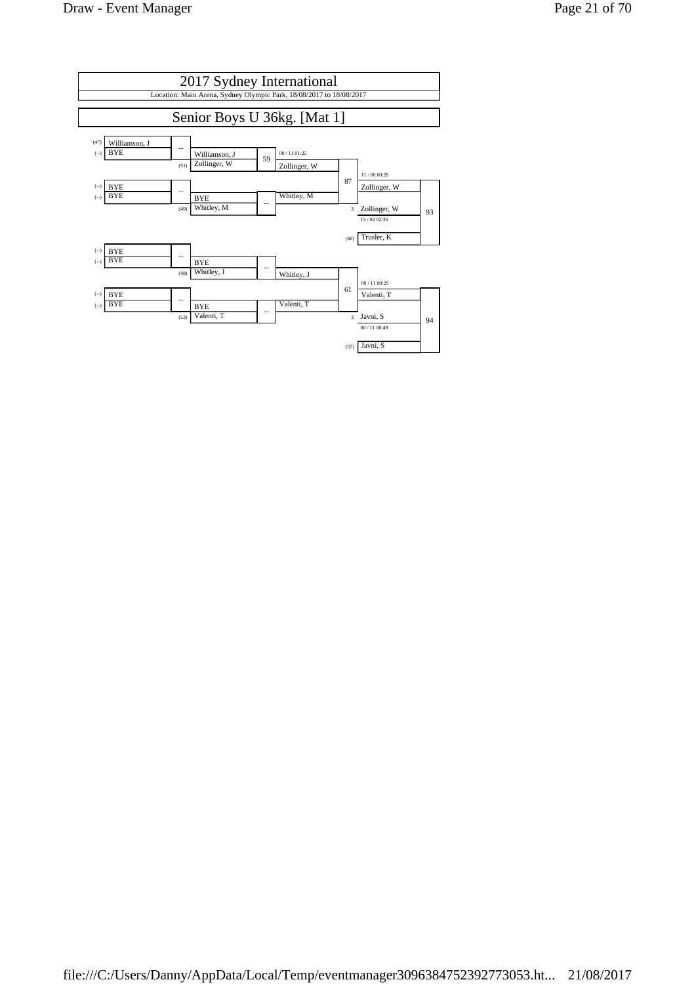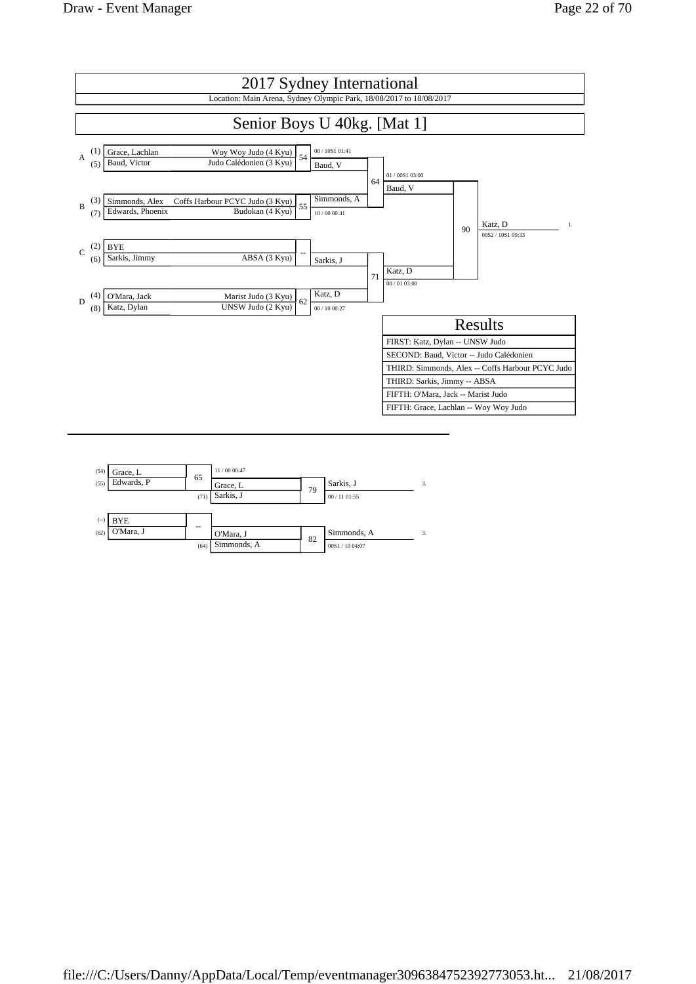

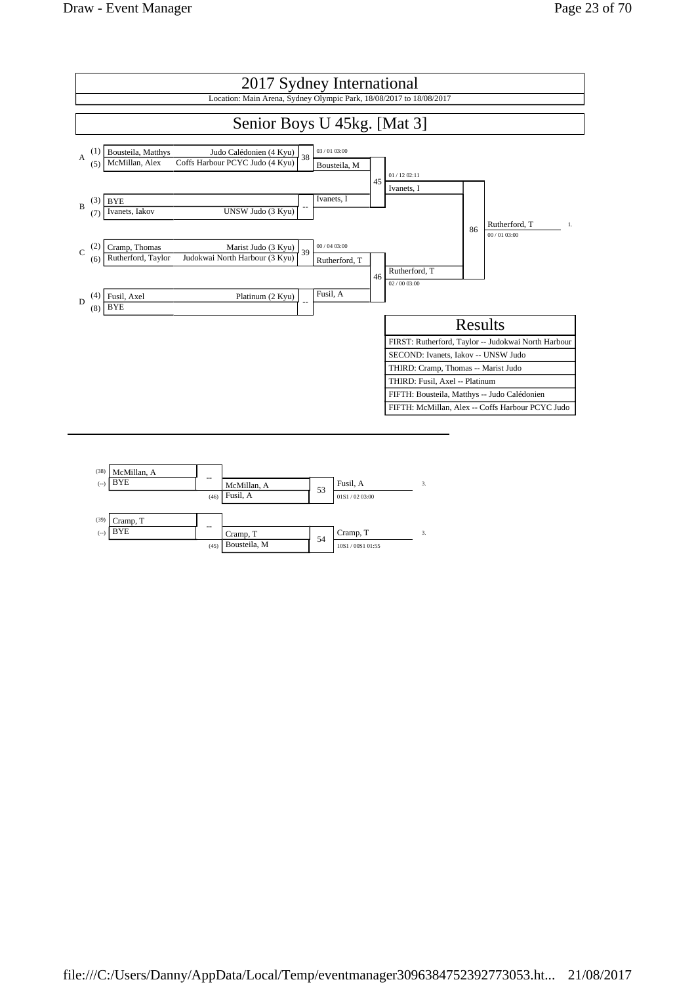

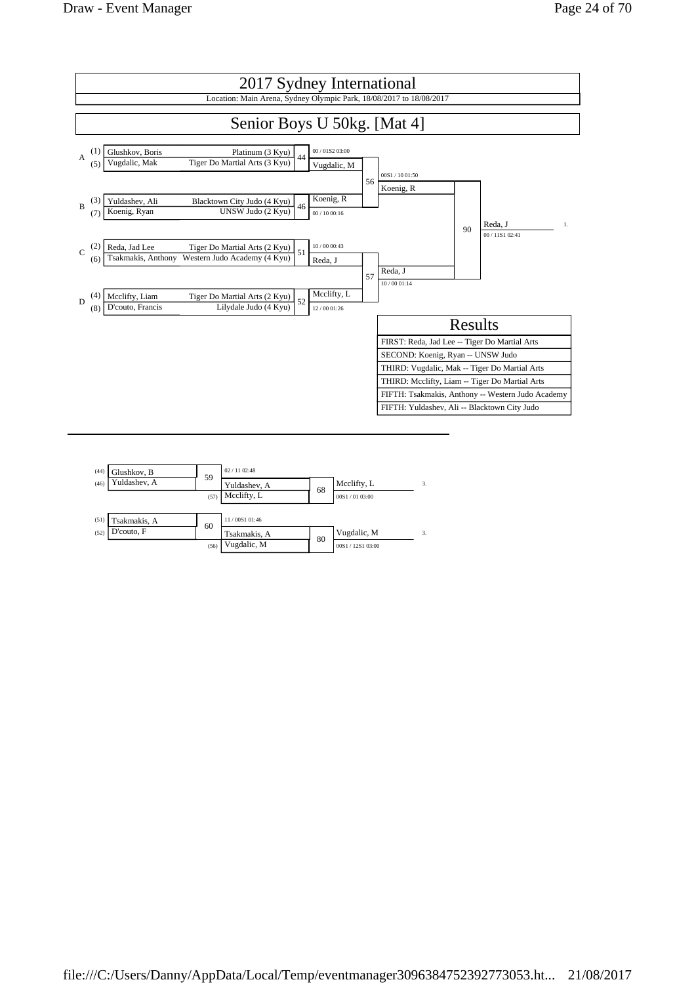

|      | $02 / 11$ 02:48 |                   |    |
|------|-----------------|-------------------|----|
|      | Yuldashev, A    | Mcclifty, L       | 3. |
| (57) | Mcclifty, L     | 00S1/0103:00      |    |
|      |                 |                   |    |
|      | 11/00S1 01:46   |                   |    |
|      | Tsakmakis, A    | Vugdalic, M       | 3. |
| (56) | Vugdalic, M     | 00S1 / 12S1 03:00 |    |
|      | 59<br>60        | 68<br>80          |    |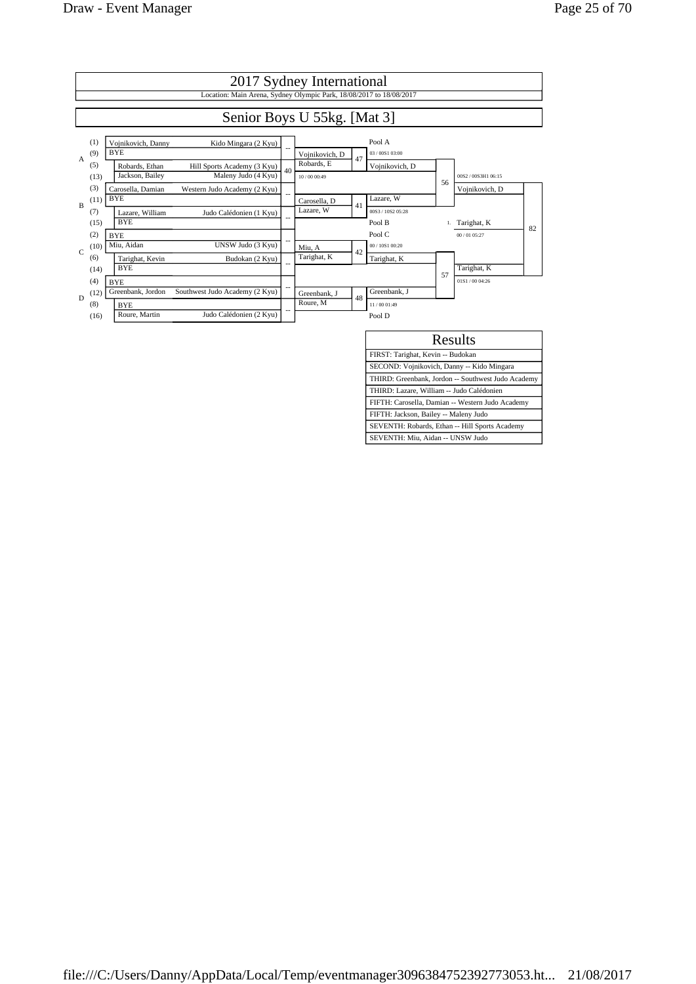

| Results                                            |
|----------------------------------------------------|
| FIRST: Tarighat, Kevin -- Budokan                  |
| SECOND: Vojnikovich, Danny -- Kido Mingara         |
| THIRD: Greenbank, Jordon -- Southwest Judo Academy |
| THIRD: Lazare, William -- Judo Calédonien          |
| FIFTH: Carosella, Damian -- Western Judo Academy   |
| FIFTH: Jackson, Bailey -- Maleny Judo              |
| SEVENTH: Robards, Ethan -- Hill Sports Academy     |
| SEVENTH: Miu, Aidan -- UNSW Judo                   |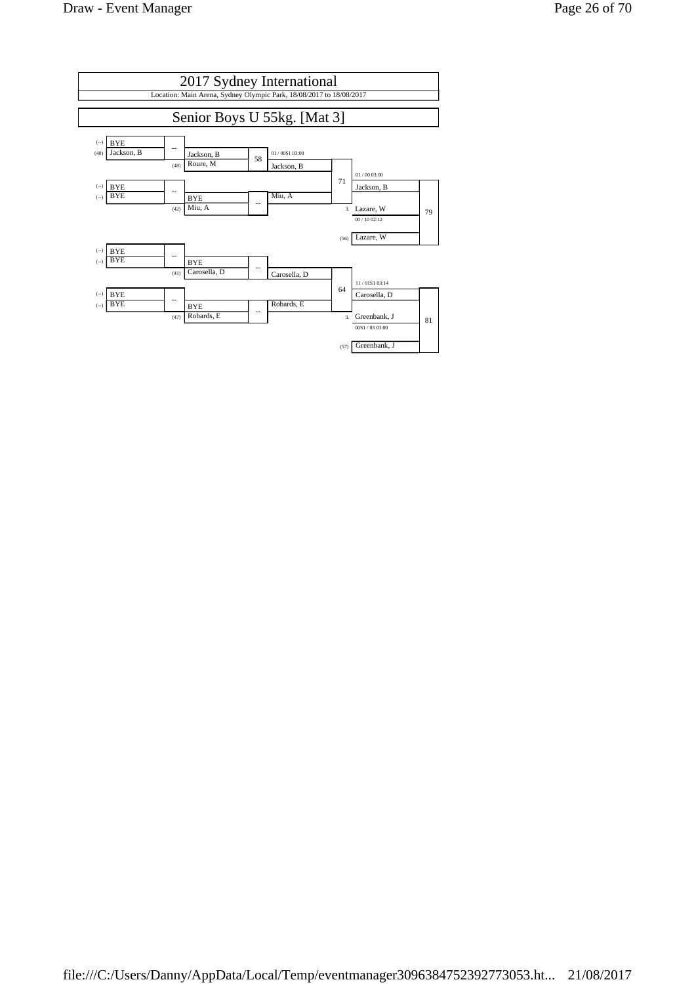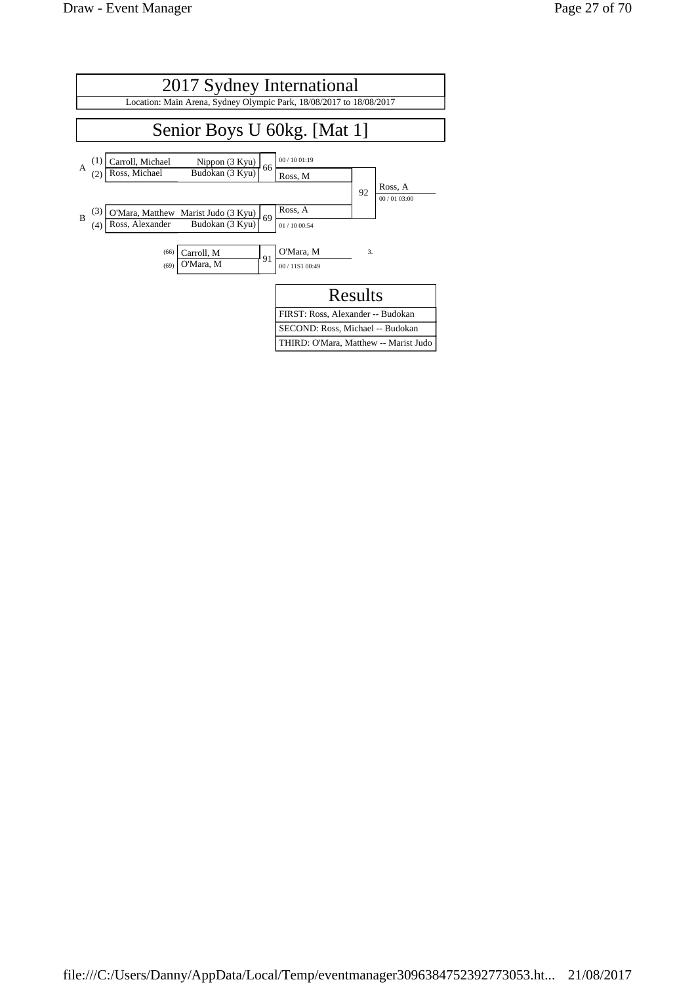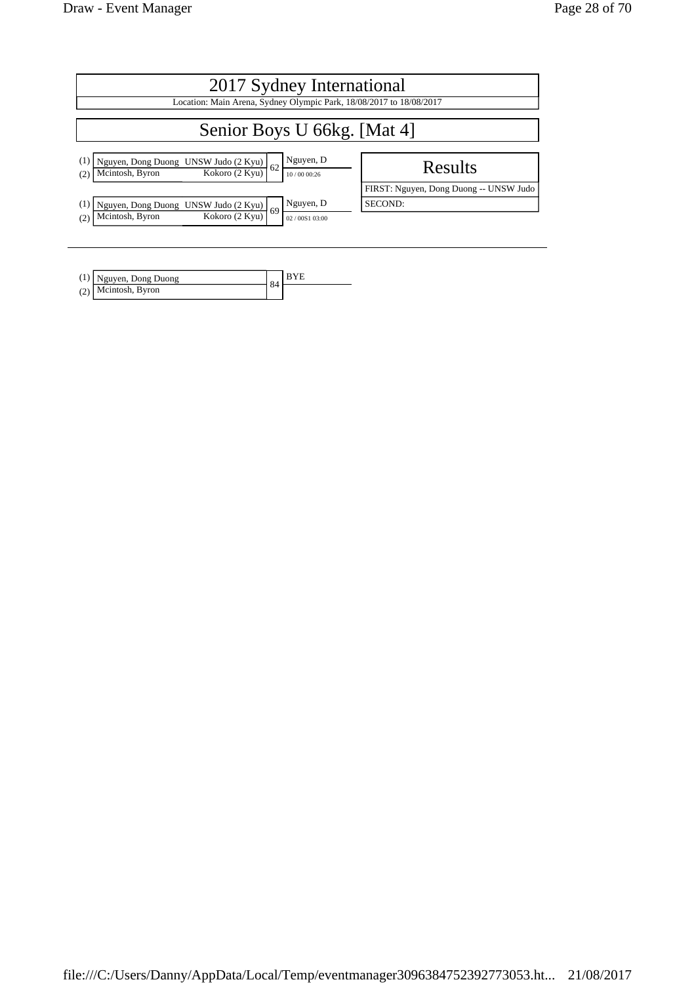| 2017 Sydney International                                                                                            |                                        |  |  |  |
|----------------------------------------------------------------------------------------------------------------------|----------------------------------------|--|--|--|
| Location: Main Arena, Sydney Olympic Park, 18/08/2017 to 18/08/2017                                                  |                                        |  |  |  |
| Senior Boys U 66kg. [Mat 4]                                                                                          |                                        |  |  |  |
| Nguyen, D<br>Nguyen, Dong Duong UNSW Judo (2 Kyu)<br>Mcintosh, Byron Kokoro (2 Kyu)<br>62<br>10/00 00:26<br>(2)      | Results                                |  |  |  |
|                                                                                                                      | FIRST: Nguyen, Dong Duong -- UNSW Judo |  |  |  |
| Nguyen, D<br>Nguyen, Dong Duong UNSW Judo (2 Kyu)<br>.69<br>Kokoro (2 Kyu)<br>Mcintosh, Byron<br>(2)<br>02/00S103:00 | SECOND:                                |  |  |  |

| $(1)$ Nguyen, Dong Duong | $\Omega$ |  |
|--------------------------|----------|--|
| (2) Mcintosh, Byron      |          |  |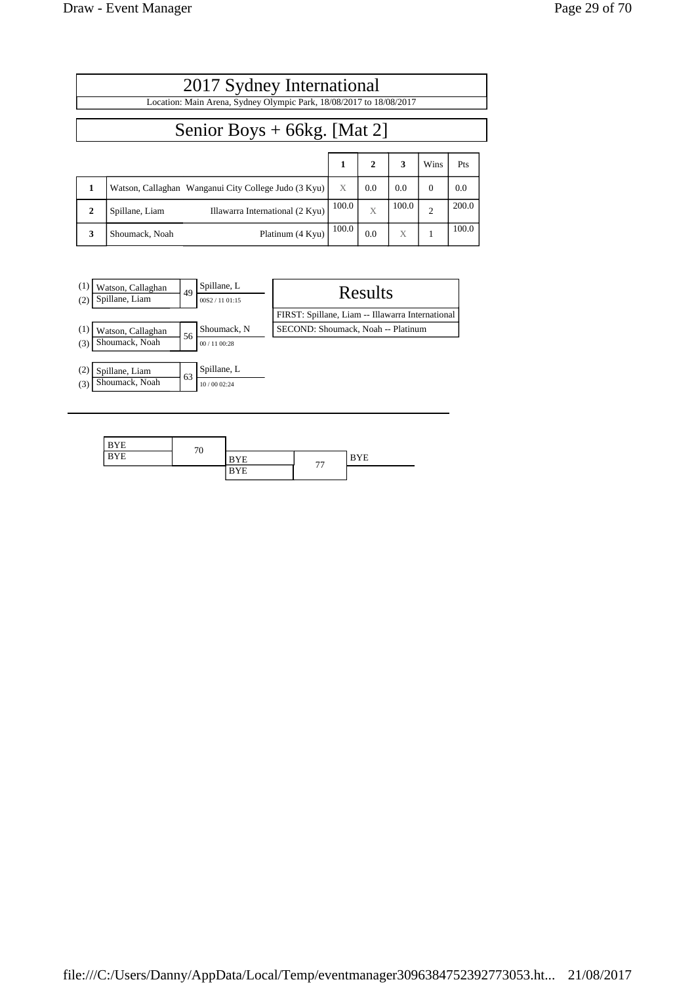|                               | 2017 Sydney International                                           |       |              |       |                |       |
|-------------------------------|---------------------------------------------------------------------|-------|--------------|-------|----------------|-------|
|                               | Location: Main Arena, Sydney Olympic Park, 18/08/2017 to 18/08/2017 |       |              |       |                |       |
| Senior Boys $+$ 66kg. [Mat 2] |                                                                     |       |              |       |                |       |
|                               |                                                                     | 1     | $\mathbf{2}$ | 3     | Wins           | Pts   |
| 1                             | Watson, Callaghan Wanganui City College Judo (3 Kyu)                | X     | 0.0          | 0.0   | $\Omega$       | 0.0   |
| $\mathbf{2}$                  | Illawarra International (2 Kyu)<br>Spillane, Liam                   | 100.0 | $\bar{X}$    | 100.0 | $\overline{c}$ | 200.0 |
| 3                             | Platinum (4 Kyu)<br>Shoumack, Noah                                  | 100.0 | 0.0          | X     |                | 100.0 |



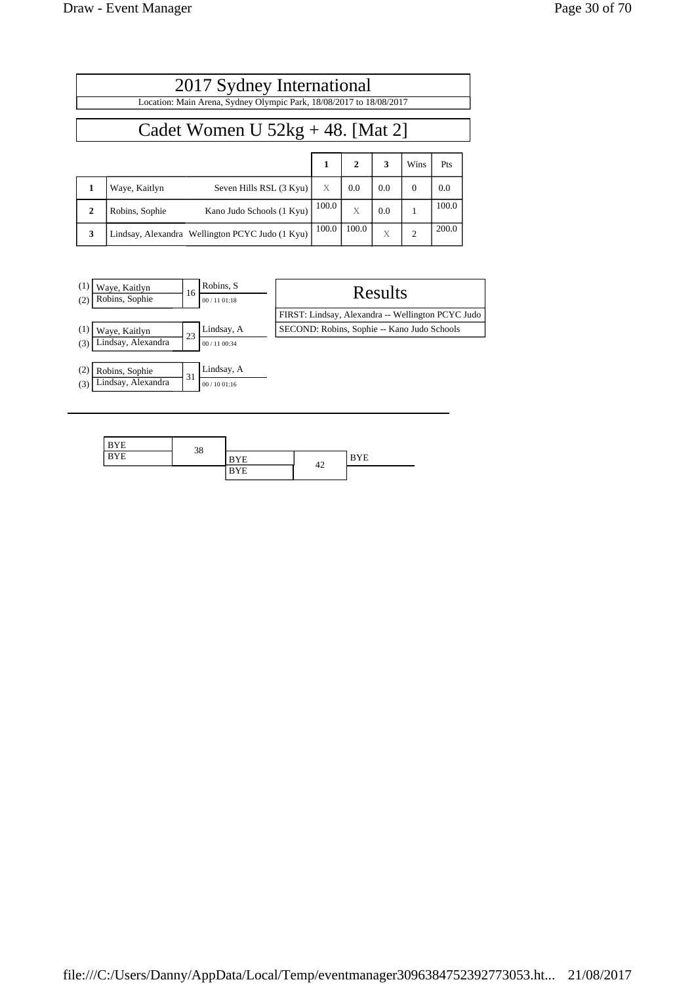| 2017 Sydney International                                           |                                                 |              |              |     |                |       |  |
|---------------------------------------------------------------------|-------------------------------------------------|--------------|--------------|-----|----------------|-------|--|
| Location: Main Arena, Sydney Olympic Park, 18/08/2017 to 18/08/2017 |                                                 |              |              |     |                |       |  |
| Cadet Women U $52kg + 48$ . [Mat 2]                                 |                                                 |              |              |     |                |       |  |
|                                                                     |                                                 | $\mathbf{1}$ | $\mathbf{2}$ | 3   | Wins           | Pts   |  |
| $\mathbf{1}$                                                        | Seven Hills RSL (3 Kyu)<br>Waye, Kaitlyn        | X            | 0.0          | 0.0 | $\Omega$       | 0.0   |  |
| $\mathbf{2}$                                                        | Kano Judo Schools (1 Kyu)<br>Robins, Sophie     | 100.0        | X            | 0.0 |                | 100.0 |  |
| 3                                                                   | Lindsay, Alexandra Wellington PCYC Judo (1 Kyu) | 100.0        | 100.0        | X   | $\overline{2}$ | 200.0 |  |



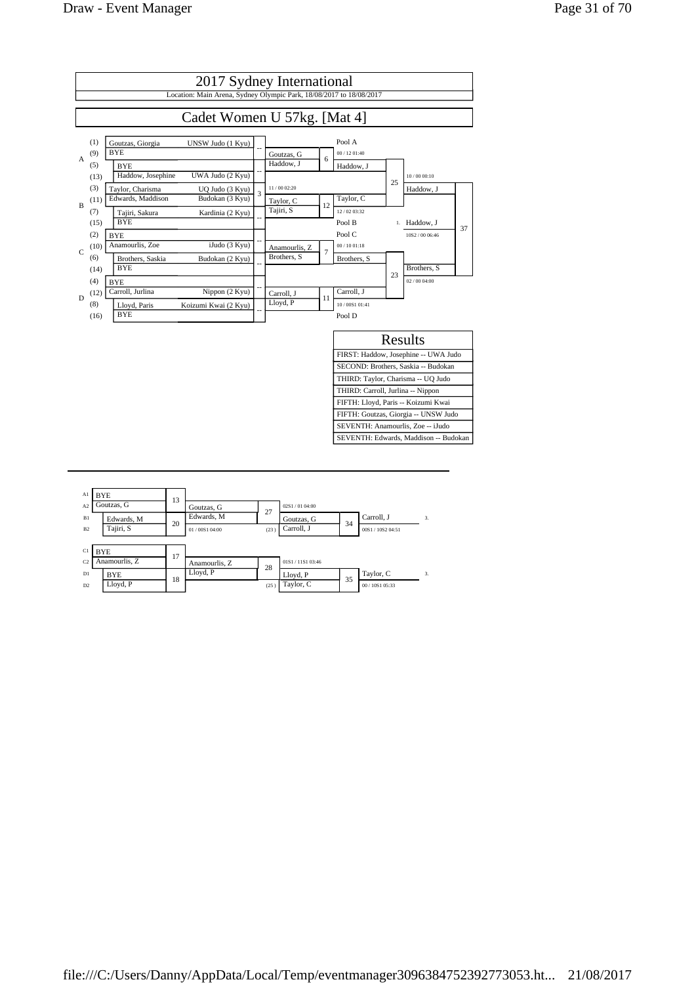

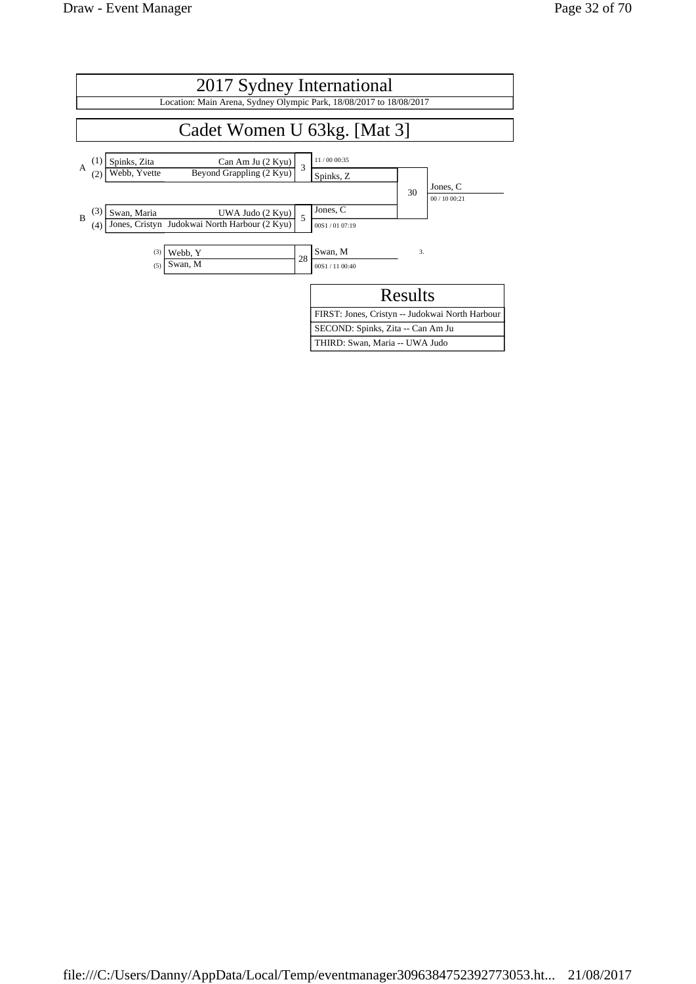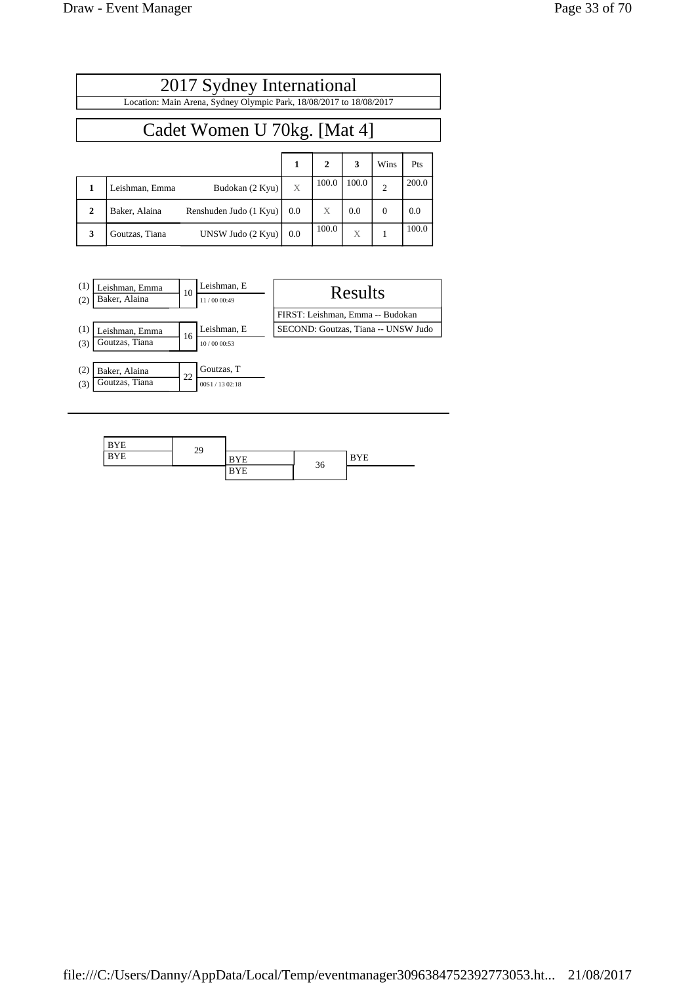Г

|              | 2017 Sydney International                                           |     |              |       |                |       |  |  |
|--------------|---------------------------------------------------------------------|-----|--------------|-------|----------------|-------|--|--|
|              | Location: Main Arena, Sydney Olympic Park, 18/08/2017 to 18/08/2017 |     |              |       |                |       |  |  |
|              | Cadet Women U 70kg. [Mat 4]                                         |     |              |       |                |       |  |  |
|              |                                                                     | 1   | $\mathbf{2}$ | 3     | Wins           | Pts   |  |  |
| 1            | Budokan (2 Kyu)<br>Leishman, Emma                                   | X   | 100.0        | 100.0 | $\overline{2}$ | 200.0 |  |  |
| $\mathbf{2}$ | Baker, Alaina<br>Renshuden Judo (1 Kyu)                             | 0.0 | X            | 0.0   | $\Omega$       | 0.0   |  |  |
| 3            | UNSW Judo (2 Kyu)<br>Goutzas, Tiana                                 | 0.0 | 100.0        | X     |                | 100.0 |  |  |



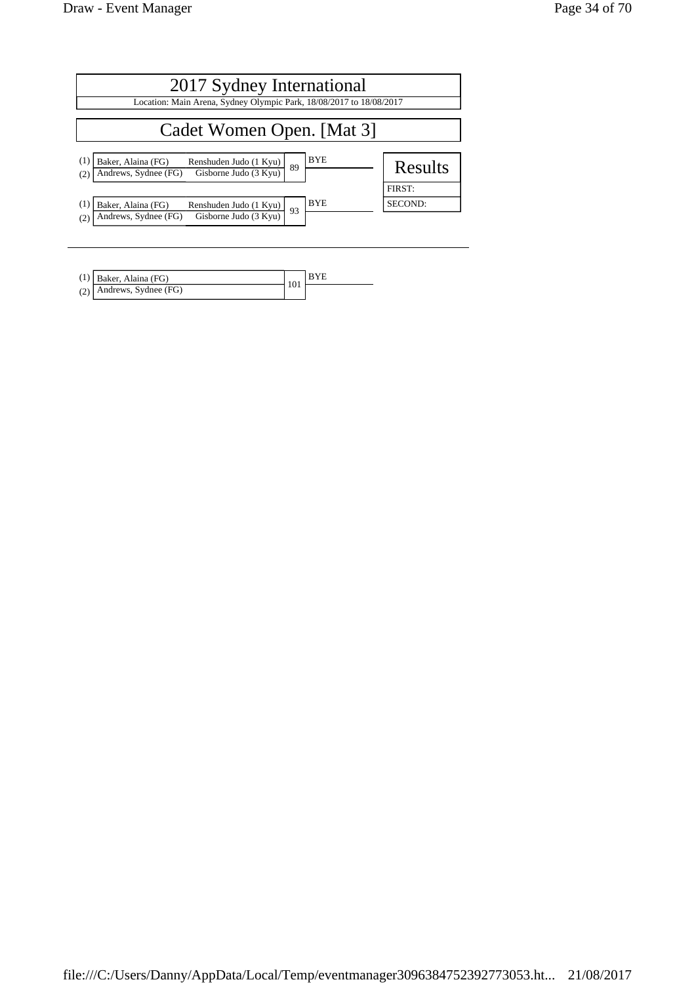| 2017 Sydney International                                                                                                       |                   |  |  |  |
|---------------------------------------------------------------------------------------------------------------------------------|-------------------|--|--|--|
| Location: Main Arena, Sydney Olympic Park, 18/08/2017 to 18/08/2017                                                             |                   |  |  |  |
| Cadet Women Open. [Mat 3]                                                                                                       |                   |  |  |  |
| <b>BYE</b><br>(1)<br>Baker, Alaina (FG)<br>Renshuden Judo (1 Kyu)<br>89<br>Gisborne Judo (3 Kyu)<br>Andrews, Sydnee (FG)<br>(2) | <b>Results</b>    |  |  |  |
| <b>BYE</b><br>(1)<br>Baker, Alaina (FG)<br>Renshuden Judo (1 Kyu)<br>93<br>Gisborne Judo (3 Kyu)<br>Andrews, Sydnee (FG)<br>(2) | FIRST:<br>SECOND: |  |  |  |

| $(1)$ Baker, Alaina (FG)   |     |  |
|----------------------------|-----|--|
| $(2)$ Andrews, Sydnee (FG) | 101 |  |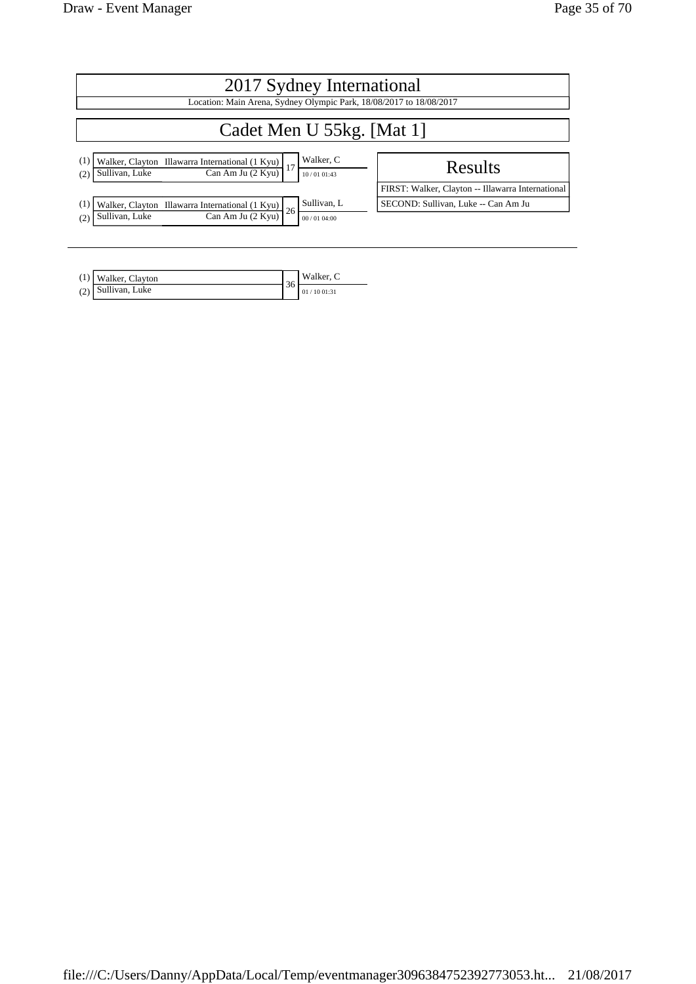| 2017 Sydney International                                                                                                             |                                                                                          |  |  |  |
|---------------------------------------------------------------------------------------------------------------------------------------|------------------------------------------------------------------------------------------|--|--|--|
| Location: Main Arena, Sydney Olympic Park, 18/08/2017 to 18/08/2017                                                                   |                                                                                          |  |  |  |
| Cadet Men U 55kg. [Mat 1]                                                                                                             |                                                                                          |  |  |  |
| Walker, C<br>(1<br>Walker, Clayton Illawarra International (1 Kyu)<br>Can Am Ju (2 Kyu)<br>Sullivan, Luke<br>(2)<br>10/0101:43        | Results                                                                                  |  |  |  |
| Sullivan, L<br>(1<br>Walker, Clayton Illawarra International (1 Kyu)<br>26<br>Sullivan, Luke<br>Can Am Ju (2 Kyu)<br>(2<br>00/0104:00 | FIRST: Walker, Clayton -- Illawarra International<br>SECOND: Sullivan, Luke -- Can Am Ju |  |  |  |

| (1) Walker, Clayton | Walker, C  |
|---------------------|------------|
| (2) Sullivan, Luke  | 01/1001:31 |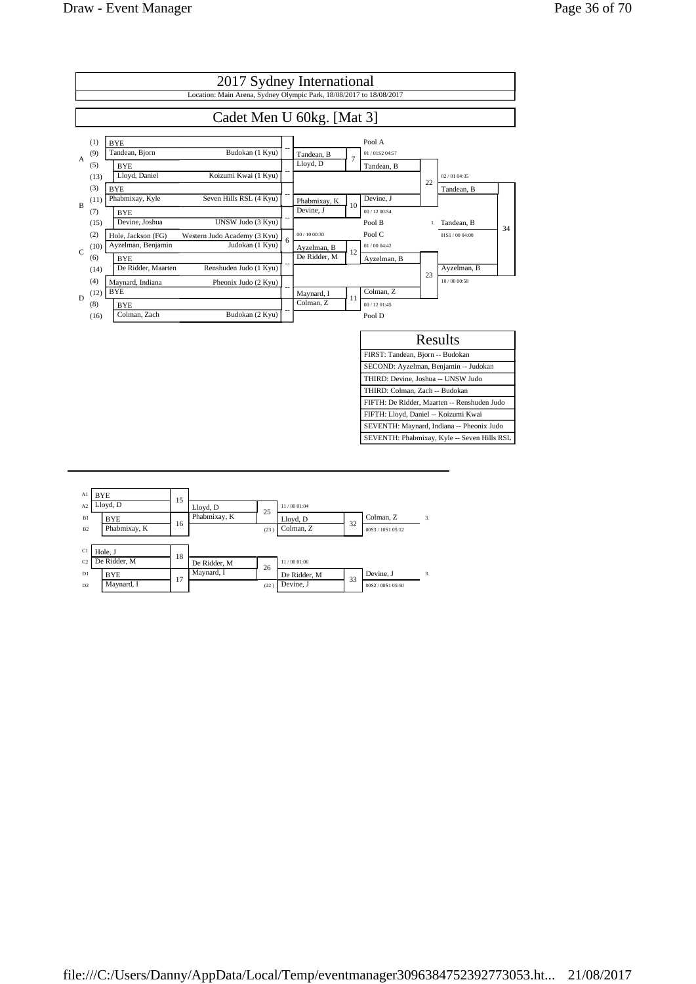

| Al<br>A <sub>2</sub> | <b>BYE</b><br>Lloyd, D     | 15 | Lloyd, D     | 25         | 11/00 01:04               |    |                                |    |
|----------------------|----------------------------|----|--------------|------------|---------------------------|----|--------------------------------|----|
| B1<br>B2             | <b>BYE</b><br>Phabmixay, K | 16 | Phabmixay, K | (23)       | Lloyd, D<br>Colman, Z     | 32 | Colman, Z<br>00S3 / 10S1 05:12 | 3. |
| C1<br>C <sub>2</sub> | Hole, J<br>De Ridder, M    | 18 | De Ridder, M |            | 11/00 01:06               |    |                                |    |
| D1<br>D2             | <b>BYE</b><br>Maynard, I   | 17 | Maynard, I   | 26<br>(22) | De Ridder, M<br>Devine, J | 33 | Devine, J<br>00S2/00S105:50    | 3. |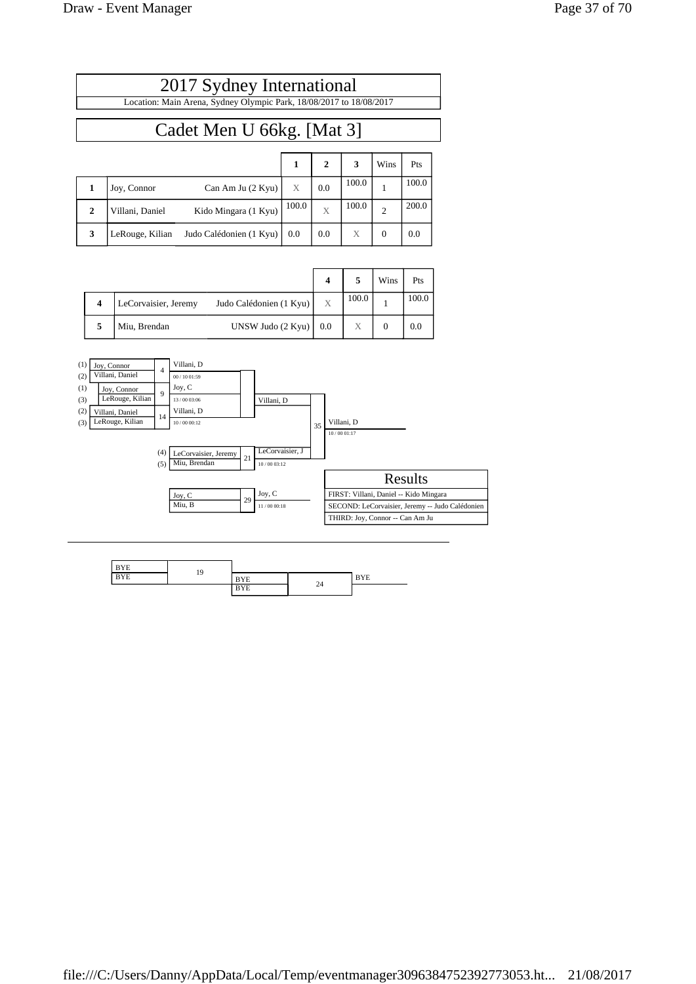| 2017 Sydney International                                           |
|---------------------------------------------------------------------|
| Location: Main Arena, Sydney Olympic Park, 18/08/2017 to 18/08/2017 |
|                                                                     |
| Cadet Men U 66kg. [Mat 3]                                           |

|              |                 |                         |       | $\mathbf{2}$ | 3     | Wins           | Pts   |
|--------------|-----------------|-------------------------|-------|--------------|-------|----------------|-------|
|              | Joy, Connor     | Can Am Ju $(2$ Kyu)     | X     | 0.0          | 100.0 |                | 100.0 |
| $\mathbf{2}$ | Villani, Daniel | Kido Mingara (1 Kyu)    | 100.0 | X            | 100.0 | $\overline{c}$ | 200.0 |
| 3            | LeRouge, Kilian | Judo Calédonien (1 Kyu) | 0.0   | 0.0          | X     | $\theta$       | 0.0   |

|                  |                      |                         |     |       | Wins | Pts   |
|------------------|----------------------|-------------------------|-----|-------|------|-------|
| $\boldsymbol{4}$ | LeCorvaisier, Jeremy | Judo Calédonien (1 Kyu) |     | 100.0 |      | 100.0 |
| 5                | Miu, Brendan         | UNSW Judo (2 Kyu)       | 0.0 | X     |      | 0.0   |



| <b>BYE</b> | 19 |            |    |            |
|------------|----|------------|----|------------|
| <b>BYE</b> |    | <b>BYE</b> |    | <b>BYE</b> |
|            |    | <b>BYE</b> | 24 |            |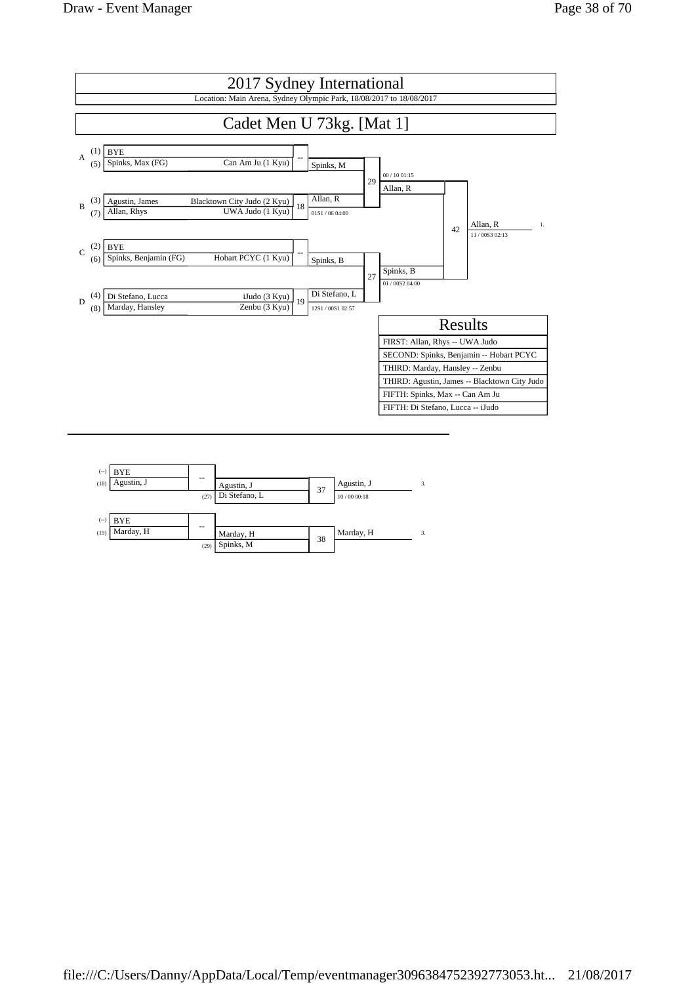

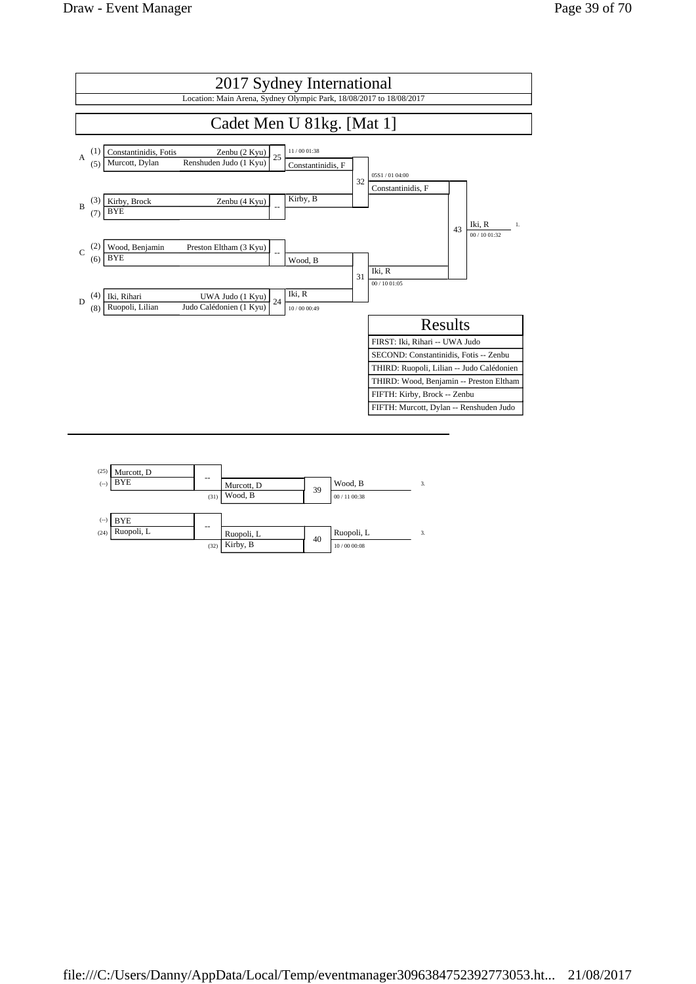

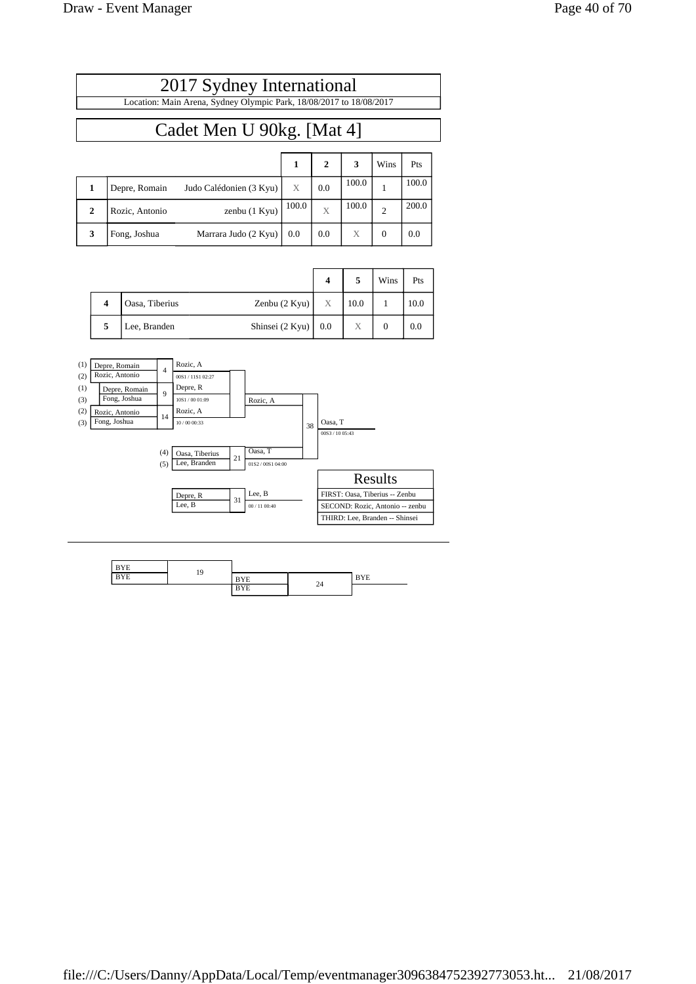## Cadet Men U 90kg. [Mat 4]

|              |                |                         |       | $\mathbf{2}$ | 3     | Wins           | Pts   |
|--------------|----------------|-------------------------|-------|--------------|-------|----------------|-------|
|              | Depre, Romain  | Judo Calédonien (3 Kyu) | X     | 0.0          | 100.0 |                | 100.0 |
| $\mathbf{2}$ | Rozic, Antonio | zenbu (1 Kyu)           | 100.0 | X            | 100.0 | $\overline{2}$ | 200.0 |
| 3            | Fong, Joshua   | Marrara Judo (2 Kyu)    | 0.0   | 0.0          | X     | $\Omega$       | 0.0   |

|   |                |                    | 4   |      | Wins | Pts  |
|---|----------------|--------------------|-----|------|------|------|
| 4 | Oasa, Tiberius | Zenbu $(2$ Kyu $)$ | X   | 10.0 |      | 10.0 |
| 5 | Lee, Branden   | Shinsei (2 Kyu)    | 0.0 | Х    |      | 0.0  |



| <b>BYE</b> | 19 |            |    |            |
|------------|----|------------|----|------------|
| <b>BYE</b> |    | <b>BYE</b> |    | <b>BYE</b> |
|            |    | <b>BYE</b> | 24 |            |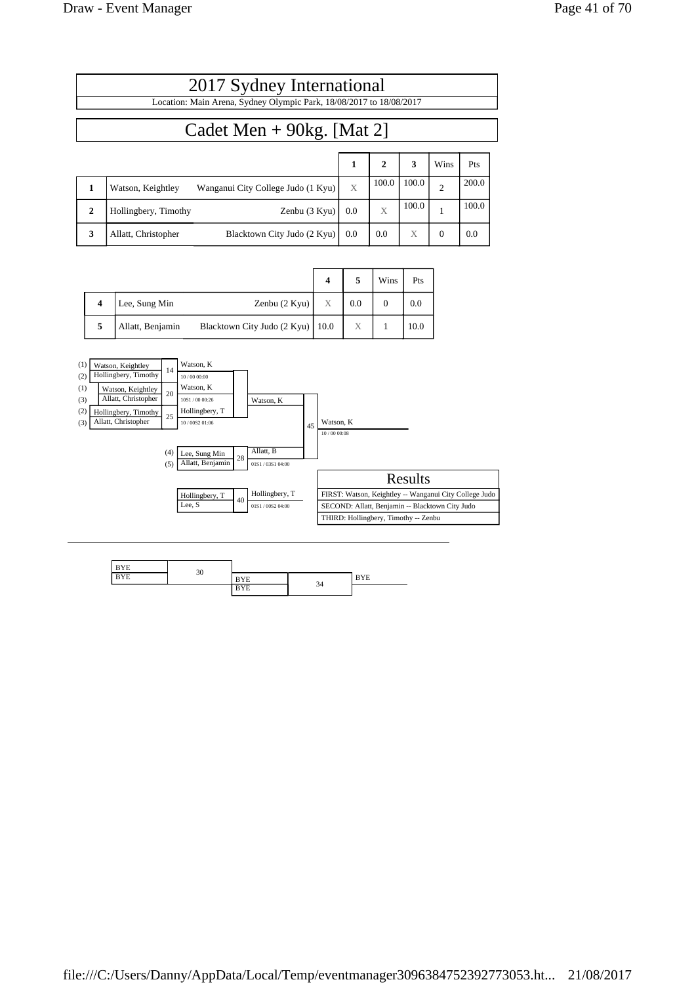$\overline{1}$ 

|              | 2017 Sydney International                                           |     |              |       |                |       |  |  |  |
|--------------|---------------------------------------------------------------------|-----|--------------|-------|----------------|-------|--|--|--|
|              | Location: Main Arena, Sydney Olympic Park, 18/08/2017 to 18/08/2017 |     |              |       |                |       |  |  |  |
|              | Cadet Men + $90kg$ . [Mat 2]                                        |     |              |       |                |       |  |  |  |
|              |                                                                     | 1   | $\mathbf{2}$ | 3     | Wins           | Pts   |  |  |  |
| 1            | Wanganui City College Judo (1 Kyu)<br>Watson, Keightley             | X   | 100.0        | 100.0 | $\overline{c}$ | 200.0 |  |  |  |
| $\mathbf{2}$ | Zenbu (3 Kyu)<br>Hollingbery, Timothy                               | 0.0 | X            | 100.0 |                | 100.0 |  |  |  |
| 3            | Blacktown City Judo (2 Kyu)<br>Allatt, Christopher                  | 0.0 | 0.0          | X     | $\overline{0}$ | 0.0   |  |  |  |

|                         |                  |                                    |   |     | Wins | Pts  |
|-------------------------|------------------|------------------------------------|---|-----|------|------|
| $\overline{\mathbf{4}}$ | Lee, Sung Min    | Zenbu $(2$ Kyu $)$                 | X | 0.0 |      | 0.0  |
| 5                       | Allatt, Benjamin | Blacktown City Judo (2 Kyu)   10.0 |   | Х   |      | 10.0 |



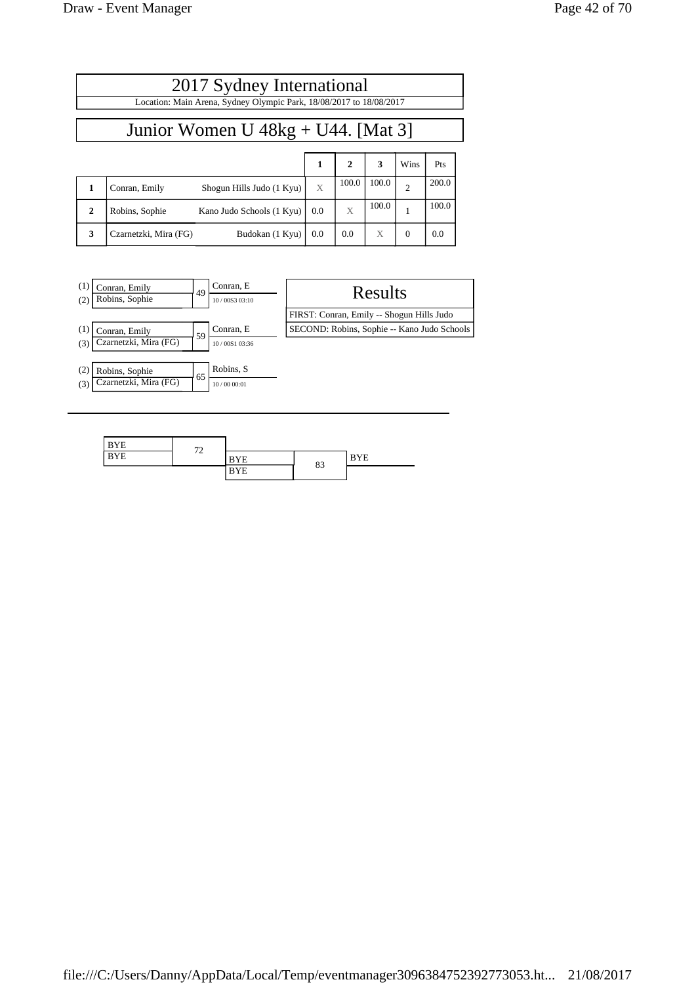|              | 2017 Sydney International                                           |                           |     |              |       |                |       |  |  |
|--------------|---------------------------------------------------------------------|---------------------------|-----|--------------|-------|----------------|-------|--|--|
|              | Location: Main Arena, Sydney Olympic Park, 18/08/2017 to 18/08/2017 |                           |     |              |       |                |       |  |  |
|              | Junior Women $U$ 48kg + U44. [Mat 3]                                |                           |     |              |       |                |       |  |  |
|              |                                                                     |                           | 1   | $\mathbf{2}$ | 3     | Wins           | Pts   |  |  |
|              | Conran, Emily                                                       | Shogun Hills Judo (1 Kyu) | X   | 100.0        | 100.0 | $\overline{c}$ | 200.0 |  |  |
| $\mathbf{2}$ | Robins, Sophie                                                      | Kano Judo Schools (1 Kyu) | 0.0 | X            | 100.0 |                | 100.0 |  |  |

**3**  $\begin{bmatrix} \text{Czarnetzki, Mira (FG)} \\ \text{D} \end{bmatrix}$  Budokan (1 Kyu) 0.0 0.0 X 0.0 0.0



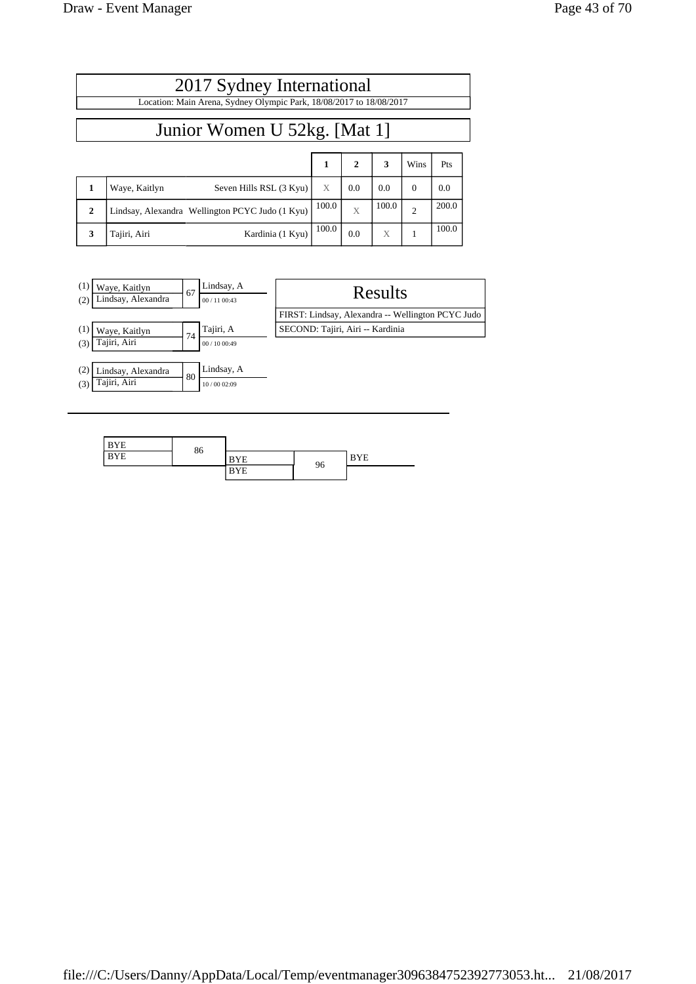|              | 2017 Sydney International                                           |              |     |       |                |       |  |  |  |
|--------------|---------------------------------------------------------------------|--------------|-----|-------|----------------|-------|--|--|--|
|              | Location: Main Arena, Sydney Olympic Park, 18/08/2017 to 18/08/2017 |              |     |       |                |       |  |  |  |
|              | Junior Women U 52kg. [Mat 1]                                        |              |     |       |                |       |  |  |  |
|              |                                                                     | $\mathbf{1}$ | 2   | 3     | Wins           | Pts   |  |  |  |
|              | Seven Hills RSL (3 Kyu)<br>Waye, Kaitlyn                            | X            | 0.0 | 0.0   | $\Omega$       | 0.0   |  |  |  |
| $\mathbf{2}$ | Lindsay, Alexandra Wellington PCYC Judo (1 Kyu)                     | 100.0        | X   | 100.0 | $\overline{2}$ | 200.0 |  |  |  |
| 3            | Kardinia (1 Kyu)<br>Tajiri, Airi                                    | 100.0        | 0.0 | X     |                | 100.0 |  |  |  |



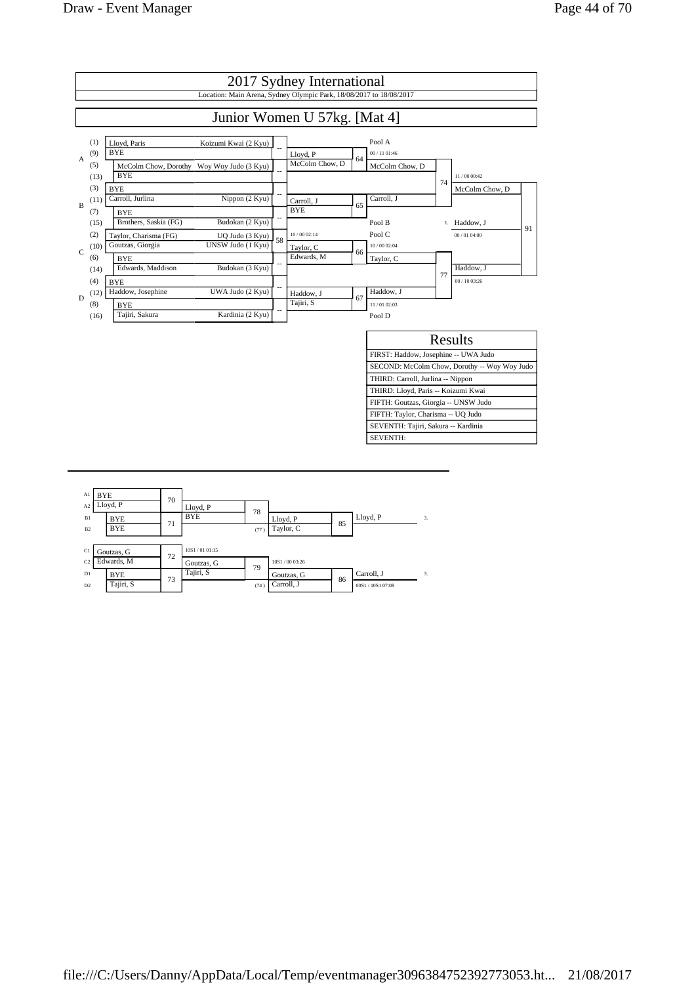

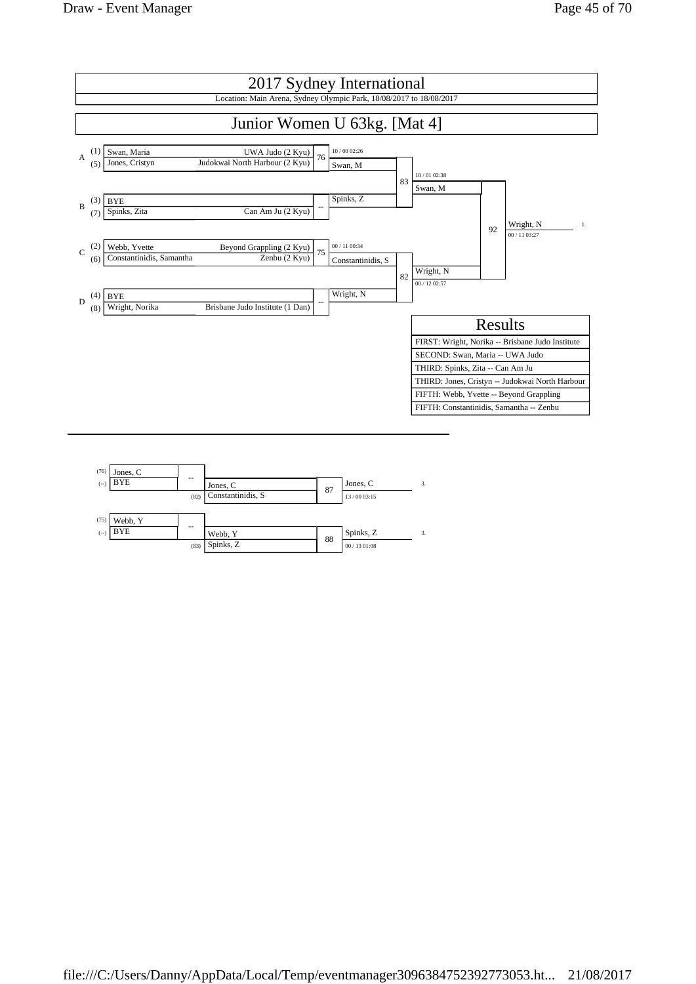

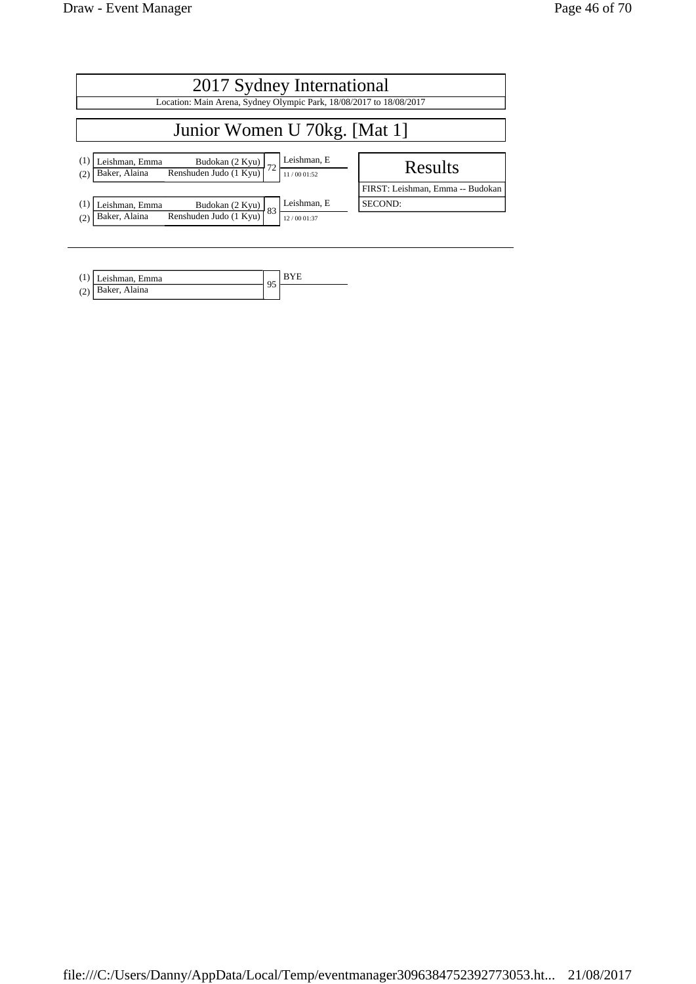| 2017 Sydney International<br>Location: Main Arena, Sydney Olympic Park, 18/08/2017 to 18/08/2017                                |                                             |  |  |  |  |  |
|---------------------------------------------------------------------------------------------------------------------------------|---------------------------------------------|--|--|--|--|--|
| Junior Women U 70kg. [Mat 1]                                                                                                    |                                             |  |  |  |  |  |
| Leishman, E<br>(1)<br>Leishman, Emma<br>Budokan $(2$ Kyu)<br>Renshuden Judo $(1$ Kyu)<br>Baker, Alaina<br>11/0001:52<br>(2)     | Results                                     |  |  |  |  |  |
| Leishman, E<br>(1)<br>Leishman, Emma<br>Budokan $(2$ Kyu) $83$<br>Renshuden Judo (1 Kyu)<br>Baker, Alaina<br>(2)<br>12/00 01:37 | FIRST: Leishman, Emma -- Budokan<br>SECOND: |  |  |  |  |  |

| $(1)$ Leishman, Emma | Q <sub>c</sub> |  |
|----------------------|----------------|--|
| (2) Baker, Alaina    | ۔ '            |  |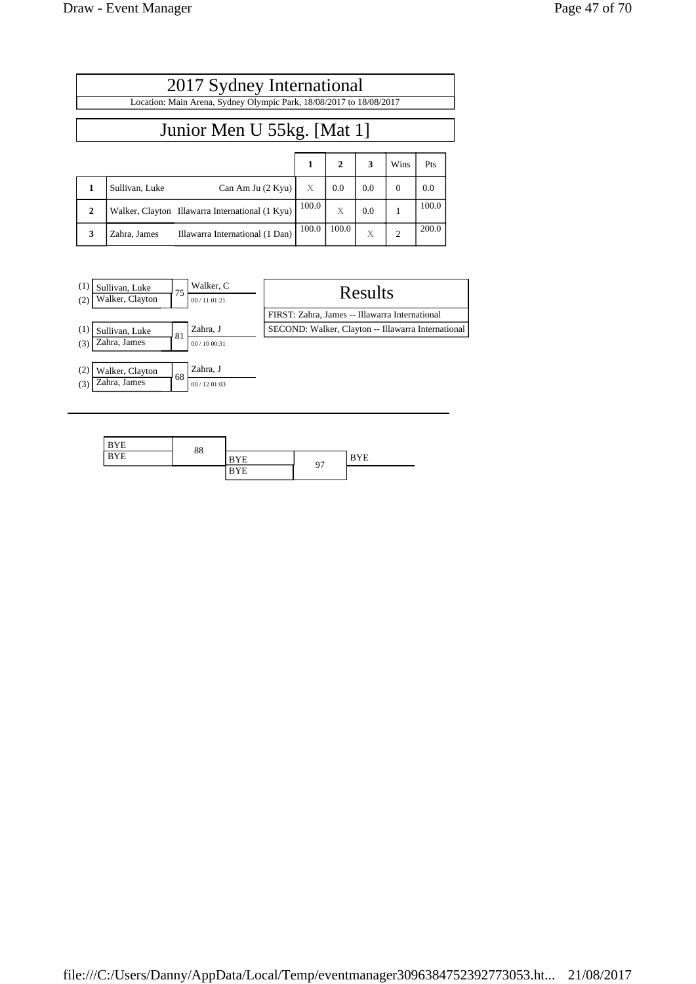$\mathbf{r}$ 

|              | 2017 Sydney International                                           |       |              |     |                |       |  |  |  |  |  |
|--------------|---------------------------------------------------------------------|-------|--------------|-----|----------------|-------|--|--|--|--|--|
|              | Location: Main Arena, Sydney Olympic Park, 18/08/2017 to 18/08/2017 |       |              |     |                |       |  |  |  |  |  |
|              | Junior Men U 55kg. [Mat 1]                                          |       |              |     |                |       |  |  |  |  |  |
|              |                                                                     | 1     | $\mathbf{2}$ | 3   | Wins           | Pts   |  |  |  |  |  |
| 1            | Sullivan, Luke<br>Can Am Ju (2 Kyu)                                 | X     | 0.0          | 0.0 | $\Omega$       | 0.0   |  |  |  |  |  |
| $\mathbf{2}$ | Walker, Clayton Illawarra International (1 Kyu)                     | 100.0 | X            | 0.0 | 1              | 100.0 |  |  |  |  |  |
| 3            | Illawarra International (1 Dan)<br>Zahra, James                     | 100.0 | 100.0        | X   | $\overline{2}$ | 200.0 |  |  |  |  |  |



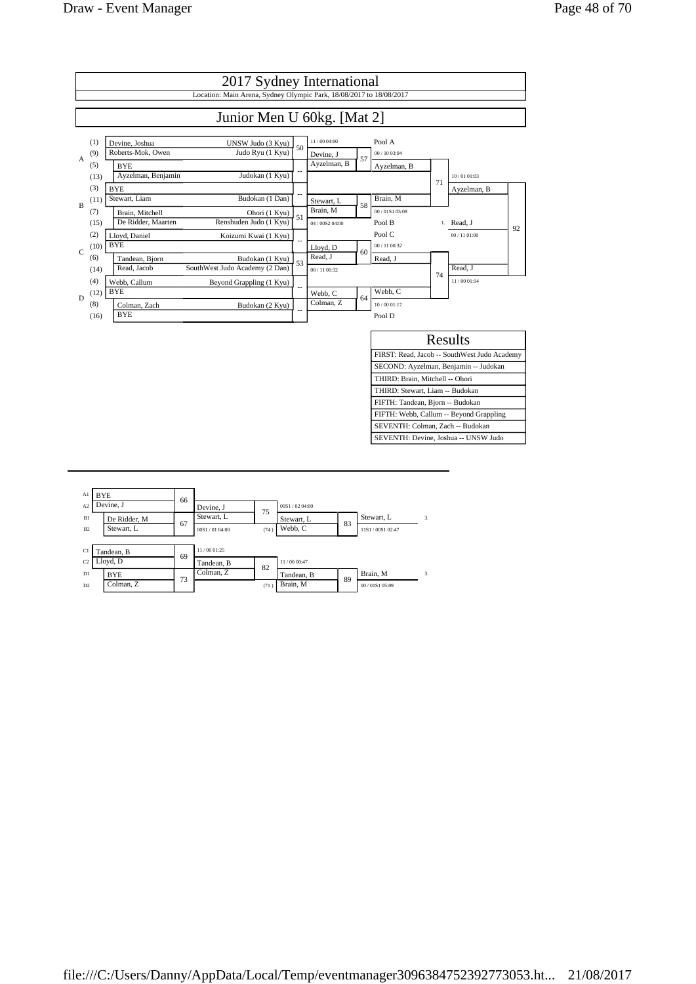

| Al<br>A2             | <b>BYE</b><br>Devine, J    | 66 | Devine, J                  |            | 00S1/0204:00              |    |                               |    |
|----------------------|----------------------------|----|----------------------------|------------|---------------------------|----|-------------------------------|----|
| B1<br>B <sub>2</sub> | De Ridder, M<br>Stewart, L | 67 | Stewart, L<br>00S1/0104:00 | 75<br>(74) | Stewart, L<br>Webb. C     | 83 | Stewart, L<br>11S1/00S1 02:47 | 3. |
| C1                   | Tandean, B                 | 69 | 11/00 01:25                |            |                           |    |                               |    |
| C <sub>2</sub><br>D1 | Lloyd, D<br><b>BYE</b>     | 73 | Tandean, B<br>Colman, Z    | 82         | 11/00 00:47<br>Tandean, B | 89 | Brain, M                      | 3. |
| D2                   | Colman, Z                  |    |                            | (71)       | Brain, M                  |    | 00/01S105:09                  |    |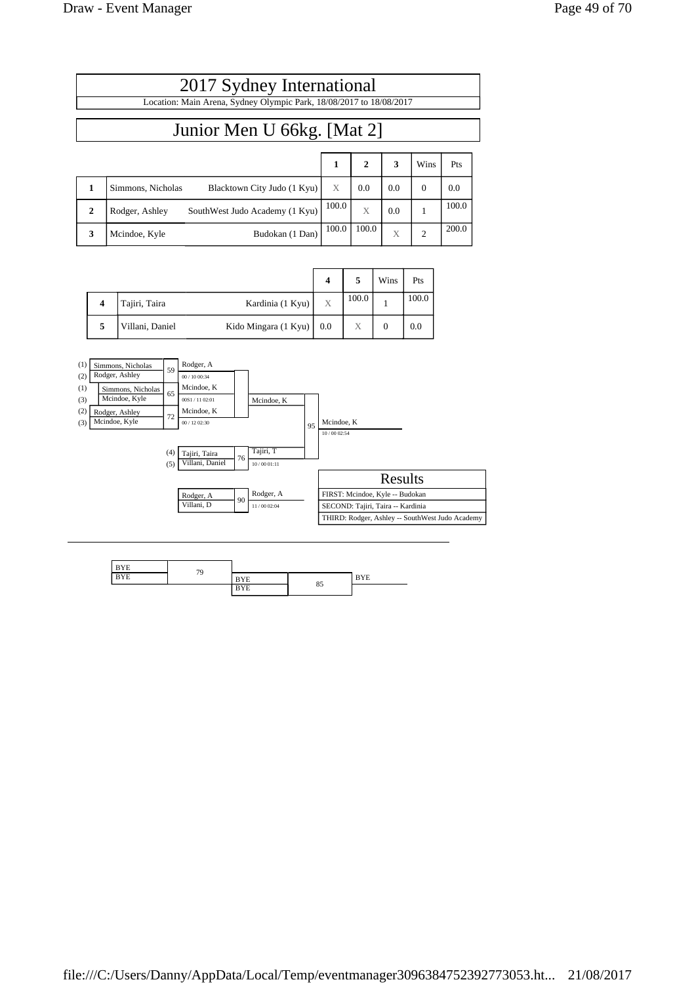|              | 2017 Sydney International<br>Location: Main Arena, Sydney Olympic Park, 18/08/2017 to 18/08/2017 |       |       |     |                |       |  |  |  |  |
|--------------|--------------------------------------------------------------------------------------------------|-------|-------|-----|----------------|-------|--|--|--|--|
|              | Junior Men U 66kg. [Mat 2]                                                                       |       |       |     |                |       |  |  |  |  |
|              | $\mathbf{2}$<br>$\mathbf{1}$<br>3<br>Wins<br>Pts                                                 |       |       |     |                |       |  |  |  |  |
| $\mathbf{1}$ | Simmons. Nicholas<br>Blacktown City Judo (1 Kyu)                                                 | X     | 0.0   | 0.0 | $\Omega$       | 0.0   |  |  |  |  |
| $\mathbf{2}$ | SouthWest Judo Academy (1 Kyu)<br>Rodger, Ashley                                                 | 100.0 | X     | 0.0 |                | 100.0 |  |  |  |  |
| 3            | Budokan (1 Dan)<br>Mcindoe, Kyle                                                                 | 100.0 | 100.0 | X   | $\overline{c}$ | 200.0 |  |  |  |  |

|   |                 |                            | 4 |       | Wins | Pts   |
|---|-----------------|----------------------------|---|-------|------|-------|
|   | Tajiri, Taira   | Kardinia (1 Kyu)           | X | 100.0 |      | 100.0 |
| 5 | Villani, Daniel | Kido Mingara (1 Kyu)   0.0 |   | Х     |      | 0.0   |



| <b>BYE</b> | 79 |            |    |            |
|------------|----|------------|----|------------|
| <b>BYE</b> |    | <b>BYE</b> |    | <b>BYE</b> |
|            |    | <b>BYE</b> | 85 |            |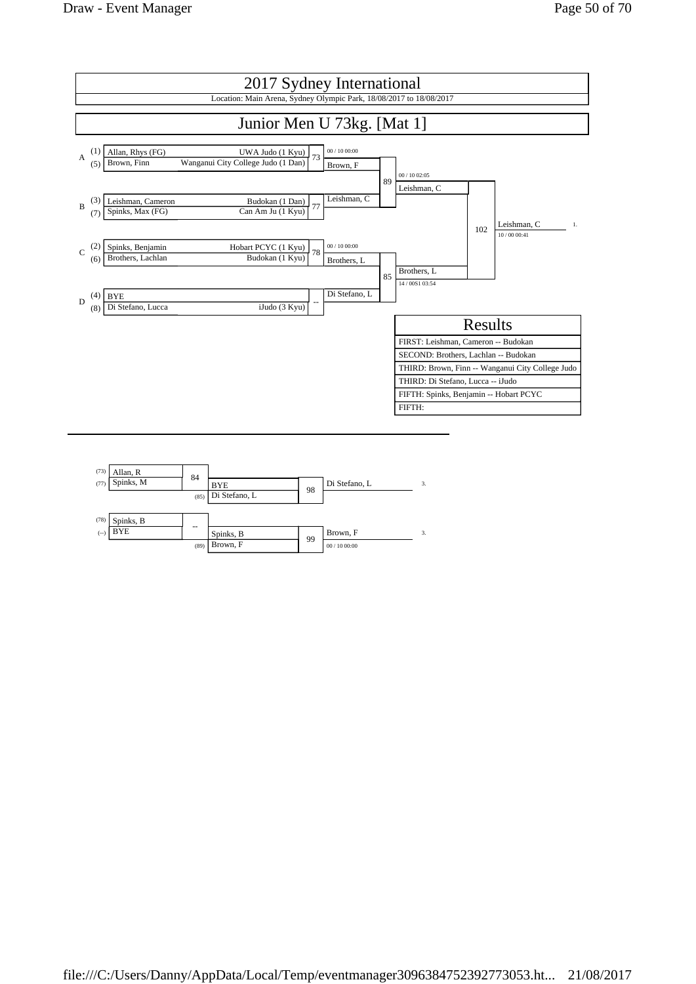

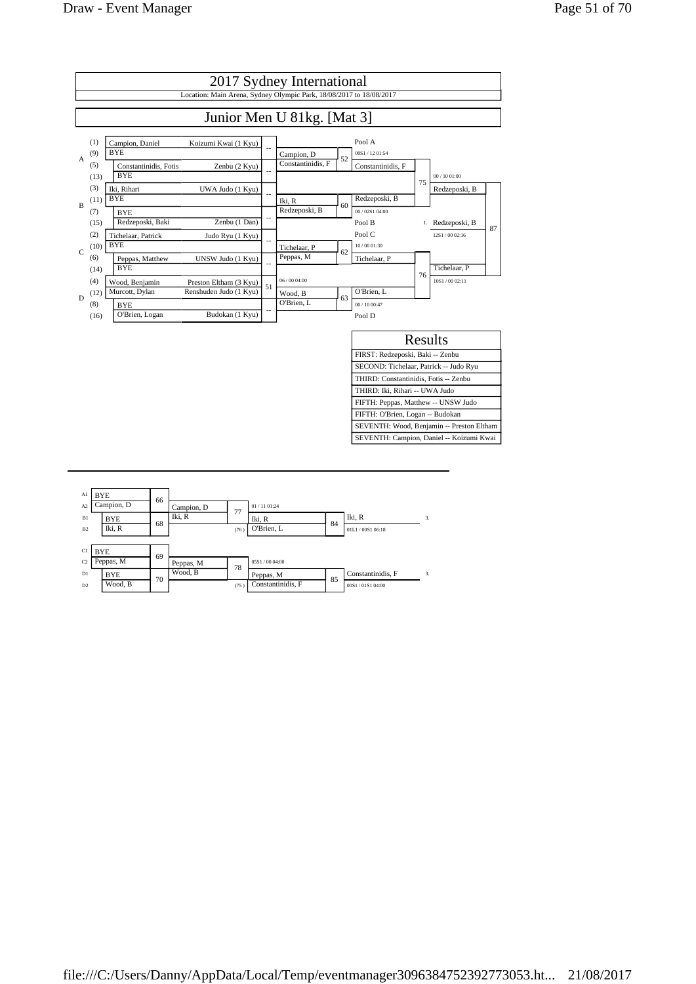

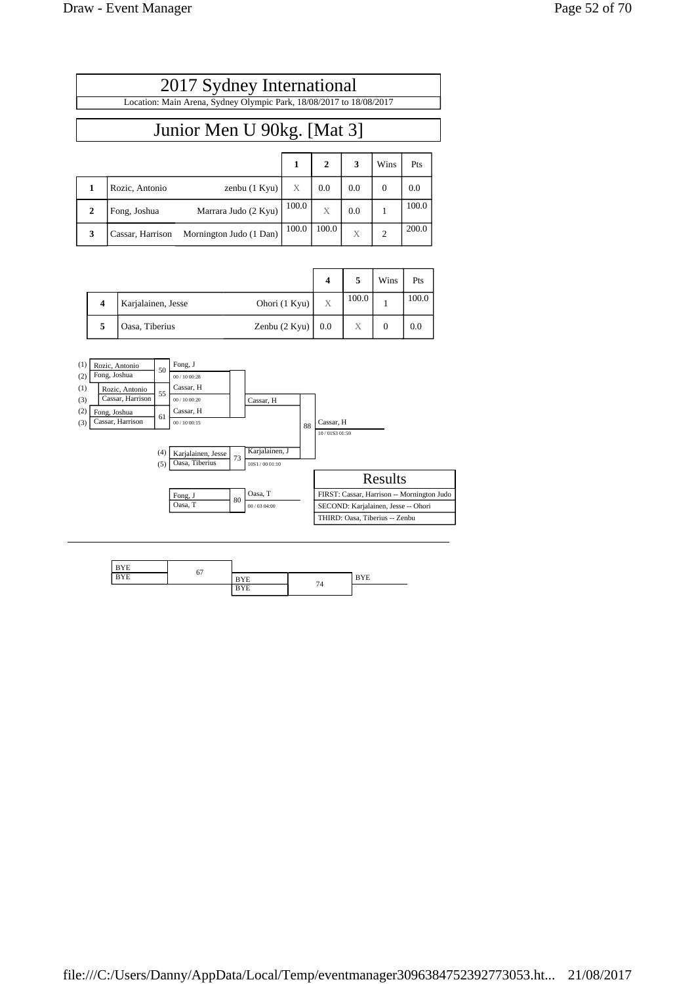| 2017 Sydney International                                           |  |                                        |  |
|---------------------------------------------------------------------|--|----------------------------------------|--|
| Location: Main Arena, Sydney Olympic Park, 18/08/2017 to 18/08/2017 |  |                                        |  |
|                                                                     |  |                                        |  |
| Junior Men U 90kg. [Mat 3]                                          |  |                                        |  |
|                                                                     |  |                                        |  |
|                                                                     |  | $1 \mid 2 \mid 3 \mid \text{Wins}$ Pts |  |

|   | Rozic, Antonio   | zenbu $(1$ Kyu $)$      | X     | 0.0   | 0.0 | 0.0   |
|---|------------------|-------------------------|-------|-------|-----|-------|
|   | Fong, Joshua     | Marrara Judo (2 Kyu)    | 100.0 |       | 0.0 | 100.0 |
| 3 | Cassar, Harrison | Mornington Judo (1 Dan) | 100.0 | 100.0 | X   | 200.0 |

|   |                    |                    | $\boldsymbol{4}$ |                 | Wins | Pts   |
|---|--------------------|--------------------|------------------|-----------------|------|-------|
| 4 | Karjalainen, Jesse | Ohori $(1$ Kyu $)$ | X                | 100.0           |      | 100.0 |
| 5 | Oasa, Tiberius     | Zenbu $(2$ Kyu $)$ | 0.0              | $\triangledown$ |      | 0.0   |



| <b>BYE</b> | 67 |            |    |            |
|------------|----|------------|----|------------|
| <b>BYE</b> |    | <b>BYE</b> |    | <b>BYE</b> |
|            |    | <b>BYE</b> | 74 |            |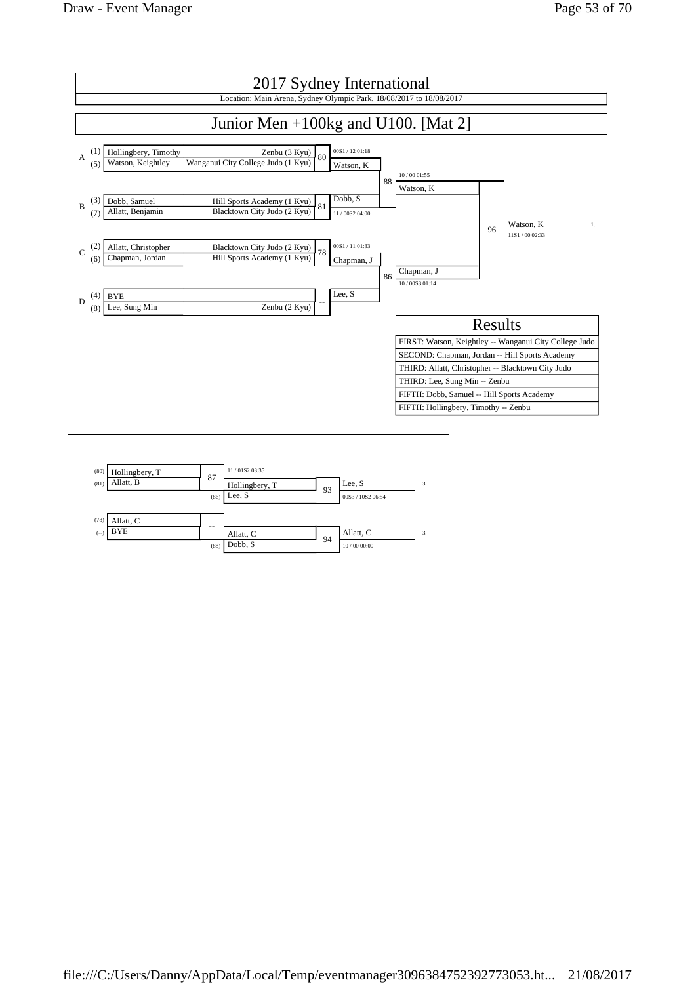

| (80)  | Hollingbery, T | 87   | 11/01S2 03:35  |    |                   |    |
|-------|----------------|------|----------------|----|-------------------|----|
| (81)  | Allatt, B      |      | Hollingbery, T | 93 | Lee, S            | 3. |
|       |                | (86) | Lee, S         |    | 00S3 / 10S2 06:54 |    |
|       |                |      |                |    |                   |    |
| (78)  | Allatt, C      | --   |                |    |                   |    |
| $(-)$ | <b>BYE</b>     |      | Allatt, C      | 94 | Allatt, C         | 3. |
|       |                | (88) | Dobb, S        |    | 10/00 00:00       |    |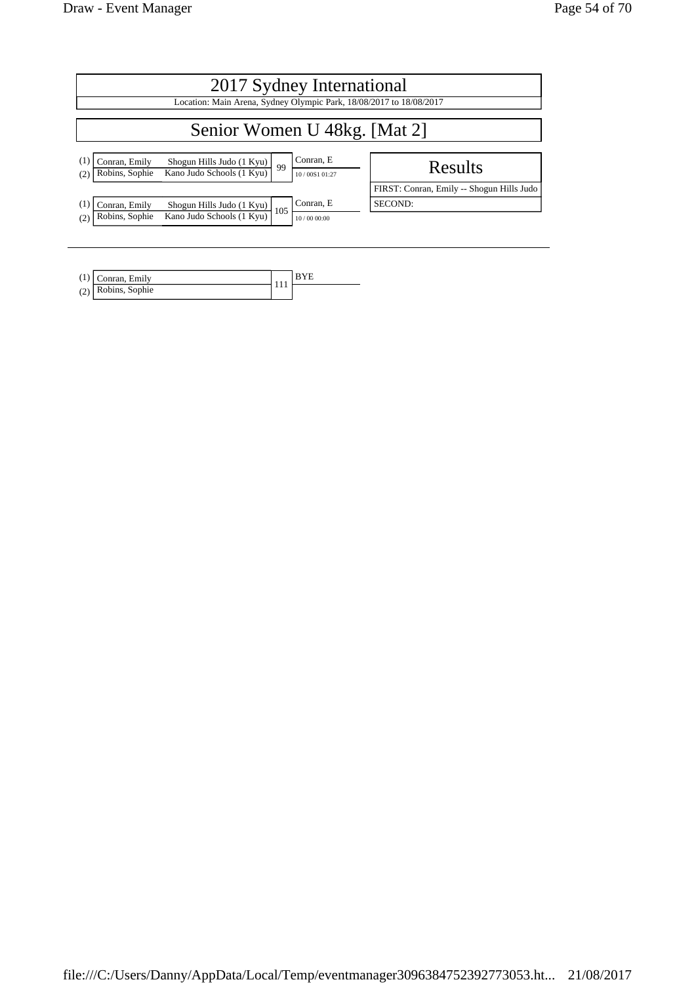| 2017 Sydney International                                                                              |                                                                     |  |  |  |  |  |
|--------------------------------------------------------------------------------------------------------|---------------------------------------------------------------------|--|--|--|--|--|
|                                                                                                        | Location: Main Arena, Sydney Olympic Park, 18/08/2017 to 18/08/2017 |  |  |  |  |  |
| Senior Women U 48kg. [Mat 2]                                                                           |                                                                     |  |  |  |  |  |
| Conran, Emily<br>Shogun Hills Judo (1 Kyu)<br>99<br>Kano Judo Schools (1 Kyu)<br>Robins, Sophie<br>(2) | Conran, E<br>Results<br>10/00S1 01:27                               |  |  |  |  |  |
|                                                                                                        | FIRST: Conran, Emily -- Shogun Hills Judo                           |  |  |  |  |  |
| Conran, Emily<br>Shogun Hills Judo (1 Kyu)<br>105                                                      | Conran, E<br>SECOND:                                                |  |  |  |  |  |
| Kano Judo Schools (1 Kyu)<br>Robins, Sophie<br>(2)                                                     | 10/00 00:00                                                         |  |  |  |  |  |

| Conran, Emily      |  |
|--------------------|--|
| (2) Robins, Sophie |  |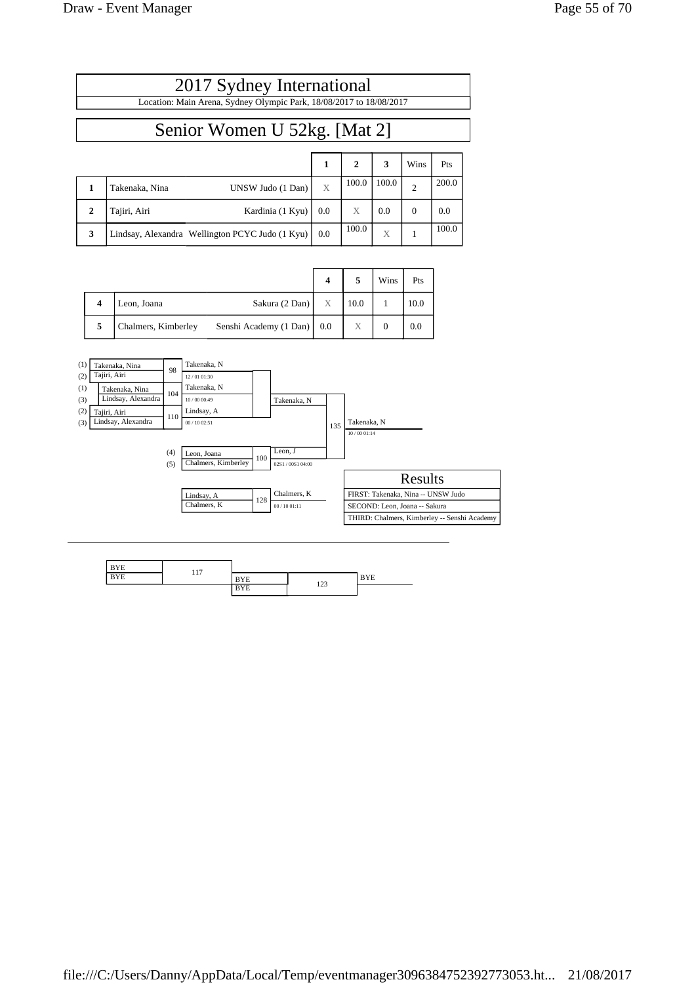|              | 2017 Sydney International<br>Location: Main Arena, Sydney Olympic Park, 18/08/2017 to 18/08/2017 |        |                       |            |                        |              |  |  |
|--------------|--------------------------------------------------------------------------------------------------|--------|-----------------------|------------|------------------------|--------------|--|--|
|              | Senior Women U 52kg. [Mat 2]                                                                     |        |                       |            |                        |              |  |  |
|              |                                                                                                  |        |                       |            |                        |              |  |  |
| 1            | UNSW Judo (1 Dan)<br>Takenaka. Nina                                                              | 1<br>X | $\mathbf{2}$<br>100.0 | 3<br>100.0 | Wins<br>$\overline{2}$ | Pts<br>200.0 |  |  |
| $\mathbf{2}$ | Tajiri, Airi<br>Kardinia (1 Kyu)                                                                 | 0.0    | X                     | 0.0        | $\Omega$               | 0.0          |  |  |
| 3            | Lindsay, Alexandra Wellington PCYC Judo (1 Kyu)                                                  | 0.0    | 100.0                 | X          |                        | 100.0        |  |  |

|   |                     |                            |   |      | Wins | Pts  |
|---|---------------------|----------------------------|---|------|------|------|
| 4 | Leon, Joana         | Sakura $(2$ Dan $)$        | X | 10.0 |      | 10.0 |
| 5 | Chalmers, Kimberley | Senshi Academy (1 Dan) 0.0 |   | Χ    |      | 0.0  |



| <b>BYE</b> |     |            |     |            |
|------------|-----|------------|-----|------------|
| <b>BYE</b> | 117 | <b>BYE</b> |     | <b>BYE</b> |
|            |     | <b>BYE</b> | 123 |            |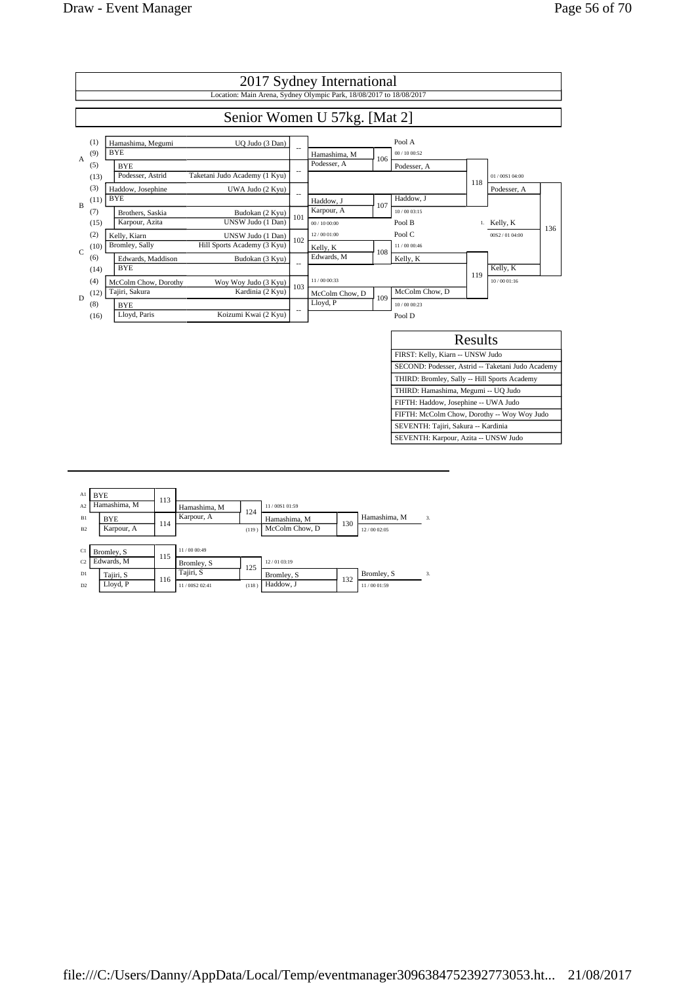

| Al<br>A <sub>2</sub> | <b>BYE</b><br>Hamashima, M | 113 | Hamashima, M               |              | 11/00S1 01:59                  |     |                             |    |
|----------------------|----------------------------|-----|----------------------------|--------------|--------------------------------|-----|-----------------------------|----|
| B1<br>B2             | <b>BYE</b><br>Karpour, A   | 114 | Karpour, A                 | 124<br>(119) | Hamashima, M<br>McColm Chow, D | 130 | Hamashima, M<br>12/00 02:05 | 3. |
| C1                   | Bromley, S                 |     | 11/00 00:49                |              |                                |     |                             |    |
| C <sub>2</sub>       | Edwards, M                 | 115 | Bromley, S                 | 125          | 12/01 03:19                    |     |                             |    |
| D1<br>D2             | Tajiri, S<br>Lloyd, P      | 116 | Tajiri, S<br>11/00S2 02:41 | (118)        | Bromley, S<br>Haddow, J        | 132 | Bromley, S<br>11/00 01:59   | 3. |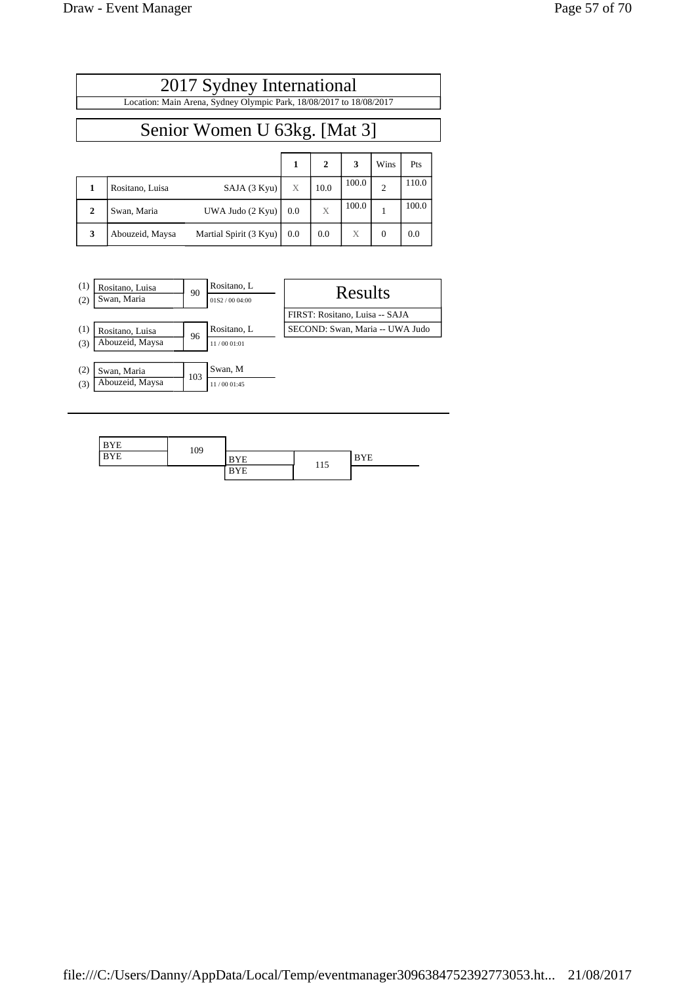Г

|              | 2017 Sydney International                                           |                        |     |              |       |                |       |  |
|--------------|---------------------------------------------------------------------|------------------------|-----|--------------|-------|----------------|-------|--|
|              | Location: Main Arena, Sydney Olympic Park, 18/08/2017 to 18/08/2017 |                        |     |              |       |                |       |  |
|              | Senior Women U 63kg. [Mat 3]                                        |                        |     |              |       |                |       |  |
|              |                                                                     |                        | 1   | $\mathbf{2}$ | 3     | Wins           | Pts   |  |
| $\mathbf{1}$ | Rositano, Luisa                                                     | SAJA (3 Kyu)           | X   | 10.0         | 100.0 | $\overline{c}$ | 110.0 |  |
| $\mathbf{2}$ | Swan, Maria                                                         | UWA Judo (2 Kyu)       | 0.0 | X            | 100.0 |                | 100.0 |  |
| 3            | Abouzeid, Maysa                                                     | Martial Spirit (3 Kyu) | 0.0 | 0.0          | Χ     | $\Omega$       | 0.0   |  |



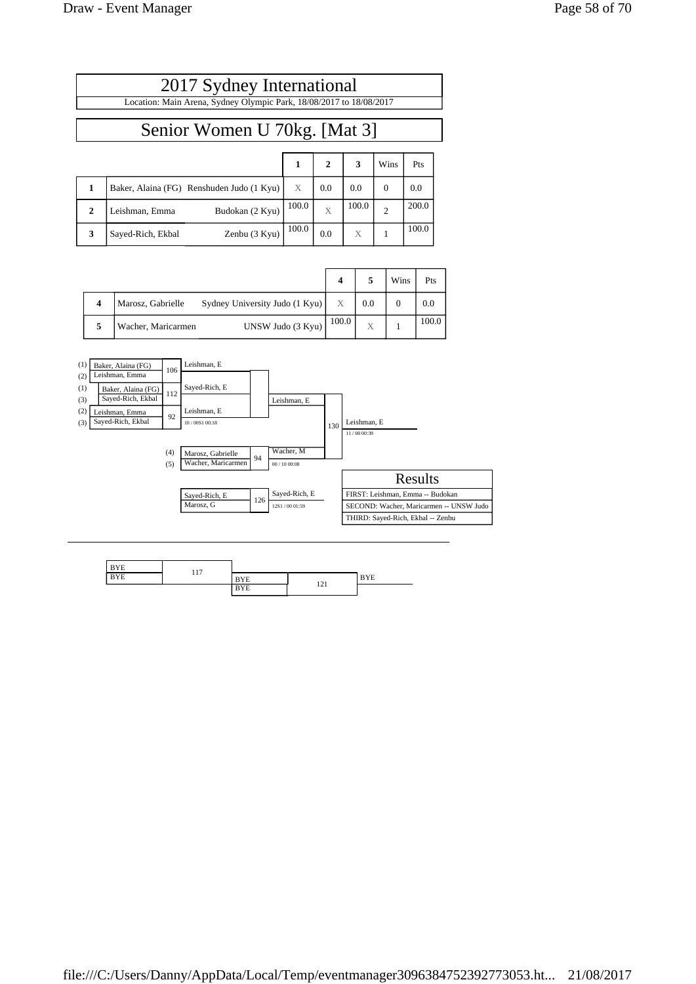| 2017 Sydney International                                           |                              |  |  |  |        |     |  |
|---------------------------------------------------------------------|------------------------------|--|--|--|--------|-----|--|
| Location: Main Arena, Sydney Olympic Park, 18/08/2017 to 18/08/2017 |                              |  |  |  |        |     |  |
|                                                                     | Senior Women U 70kg. [Mat 3] |  |  |  |        |     |  |
|                                                                     |                              |  |  |  | l Wins | Pts |  |
|                                                                     |                              |  |  |  |        |     |  |

|   | Baker, Alaina (FG) Renshuden Judo (1 Kyu) | X     | 0.0 | 0.0   | 0.0   |
|---|-------------------------------------------|-------|-----|-------|-------|
|   | Budokan (2 Kyu)<br>Leishman, Emma         | 100.0 |     | 100.0 | 200.0 |
| 3 | Zenbu $(3$ Kyu $)$<br>Sayed-Rich, Ekbal   | 100.0 | 0.0 |       | 100.0 |

|                    |                                | 4     |     | Wins | Pts   |
|--------------------|--------------------------------|-------|-----|------|-------|
| Marosz, Gabrielle  | Sydney University Judo (1 Kyu) | X     | 0.0 |      | 0.0   |
| Wacher, Maricarmen | UNSW Judo (3 Kyu)              | 100.0 | X   |      | 100.0 |



| <b>BYE</b> | 117 |            |     |            |
|------------|-----|------------|-----|------------|
| <b>BYE</b> |     | <b>BYE</b> | 121 | <b>BYE</b> |
|            |     | <b>BYE</b> | 1/4 |            |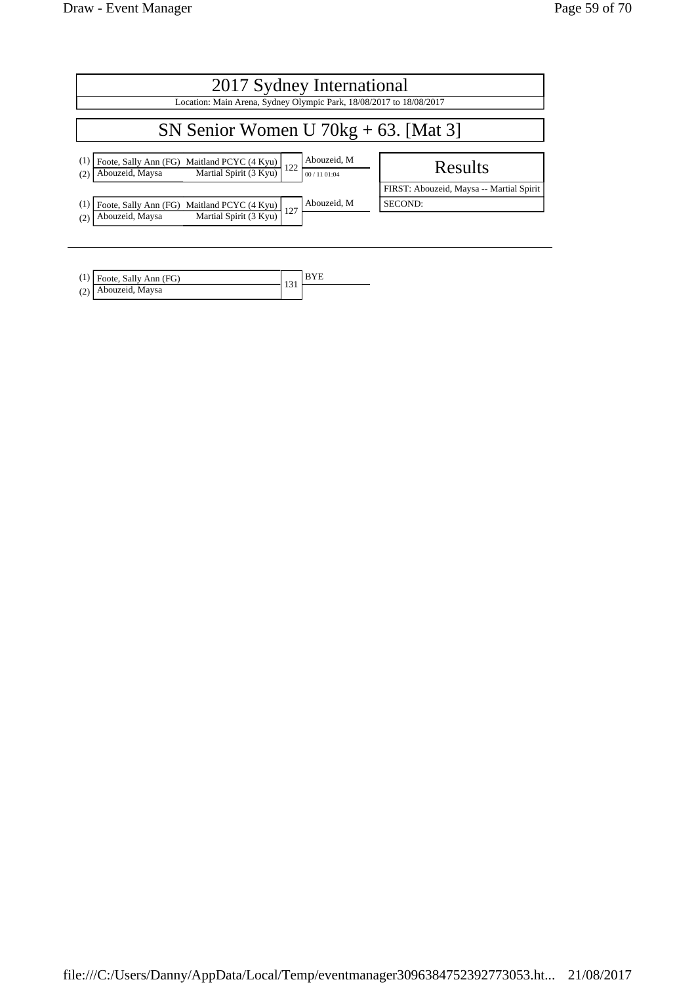| 2017 Sydney International<br>Location: Main Arena, Sydney Olympic Park, 18/08/2017 to 18/08/2017                                           |                                                     |  |  |  |  |  |  |
|--------------------------------------------------------------------------------------------------------------------------------------------|-----------------------------------------------------|--|--|--|--|--|--|
| SN Senior Women U $70kg + 63$ . [Mat 3]                                                                                                    |                                                     |  |  |  |  |  |  |
| Abouzeid, M<br>(1)<br>Foote, Sally Ann (FG) Maitland PCYC (4 Kyu)<br>Abouzeid, Maysa Martial Spirit (3 Kyu)<br>122<br>00 / 11 01:04<br>(2) | Results                                             |  |  |  |  |  |  |
| Abouzeid, M<br>Foote, Sally Ann (FG) Maitland PCYC (4 Kyu)<br>(1)<br>127<br>Martial Spirit (3 Kyu)<br>Abouzeid, Maysa<br>(2)               | FIRST: Abouzeid, Maysa -- Martial Spirit<br>SECOND: |  |  |  |  |  |  |

| $(1)$ Foote, Sally Ann (FG) |  |
|-----------------------------|--|
| (2) Abouzeid, Maysa         |  |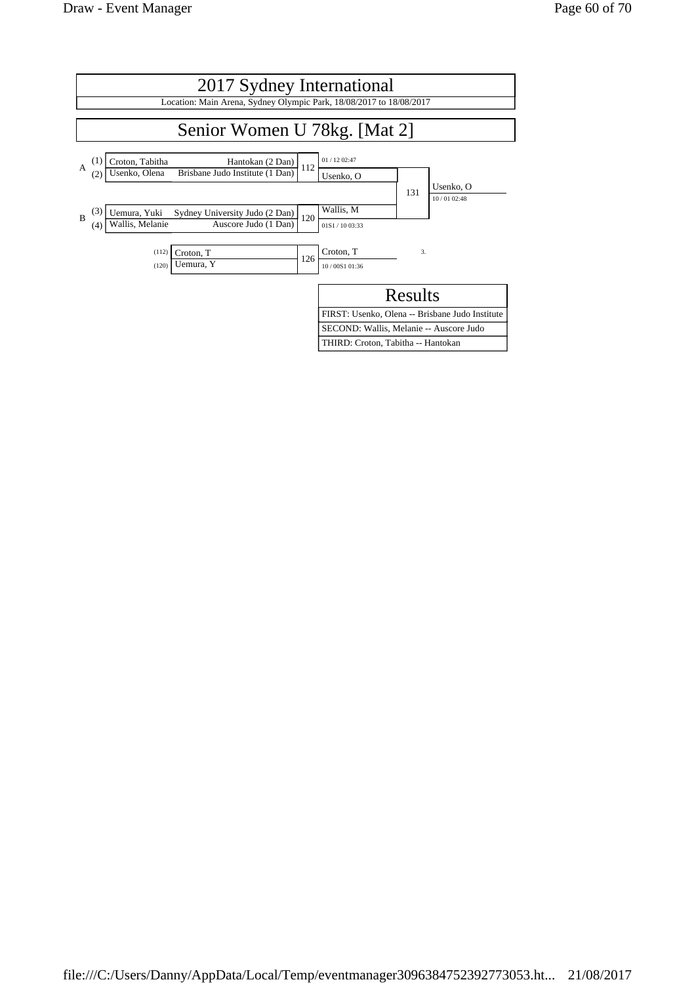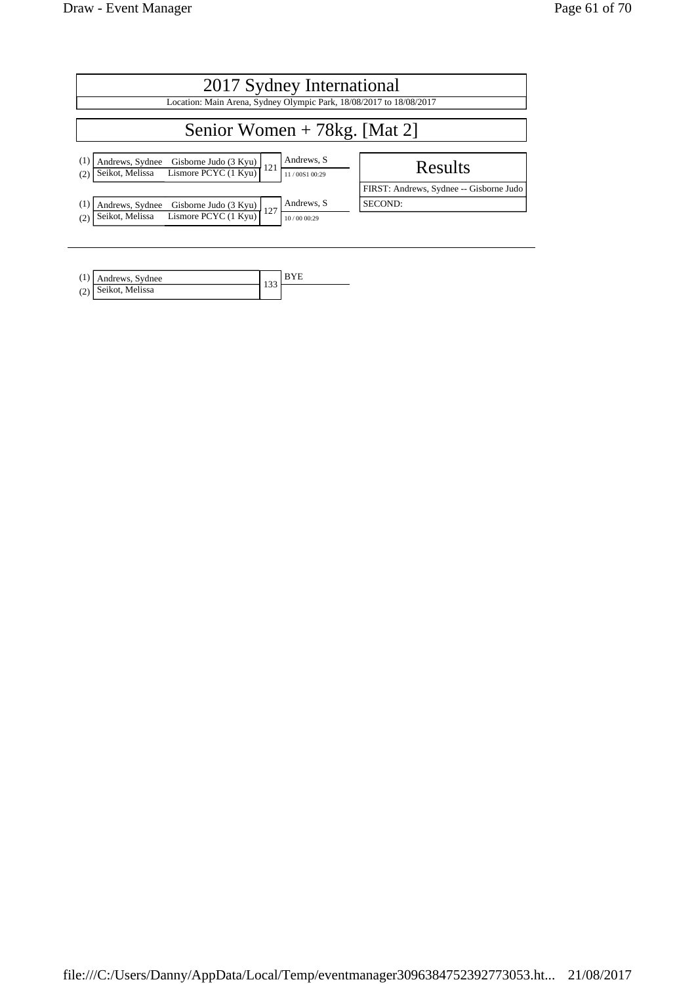| 2017 Sydney International                                                                                                                          |                                         |  |  |  |  |  |
|----------------------------------------------------------------------------------------------------------------------------------------------------|-----------------------------------------|--|--|--|--|--|
| Location: Main Arena, Sydney Olympic Park, 18/08/2017 to 18/08/2017                                                                                |                                         |  |  |  |  |  |
| Senior Women $+ 78$ kg. [Mat 2]                                                                                                                    |                                         |  |  |  |  |  |
| Andrews, S<br>(1)<br>Andrews, Sydnee<br>$\frac{1}{2}$ Example 1986 Gisborne Judo (3 Kyu)<br>121<br>Seikot, Melissa<br>11/00S1 00:29<br>(2)         | Results                                 |  |  |  |  |  |
|                                                                                                                                                    | FIRST: Andrews, Sydnee -- Gisborne Judo |  |  |  |  |  |
| Andrews, S<br>$\left(1\right)$<br>Andrews, Sydnee<br>Gisborne Judo (3 Kyu)<br>127<br>Lismore PCYC (1 Kyu)<br>Seikot, Melissa<br>(2)<br>10/00 00:29 | SECOND:                                 |  |  |  |  |  |

| (1) Andrews, Sydnee |     |  |
|---------------------|-----|--|
| (2) Seikot, Melissa | ر ر |  |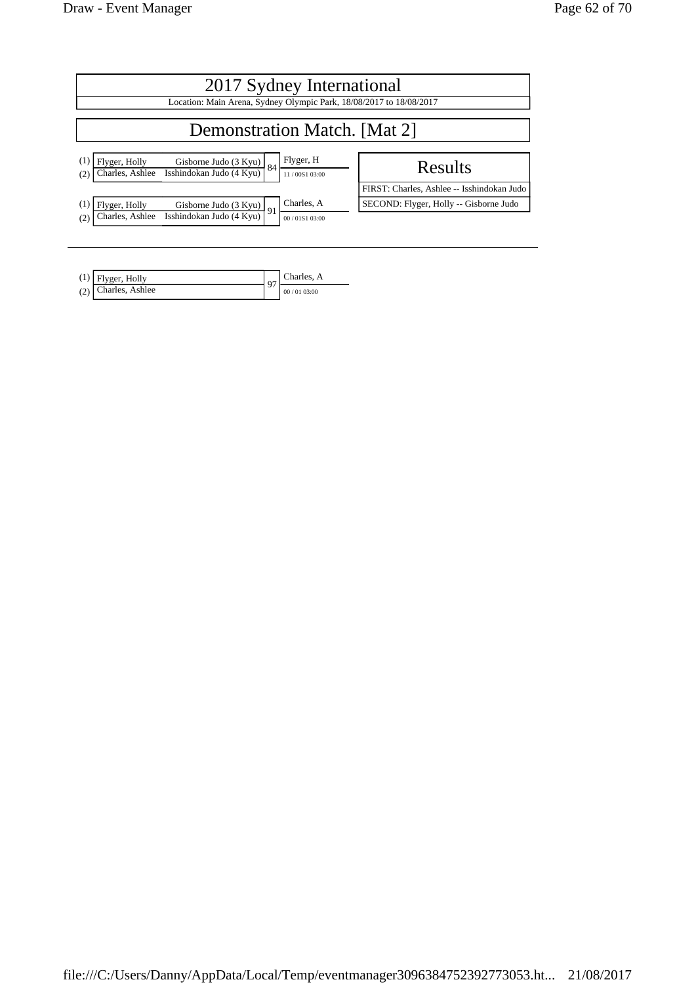| 2017 Sydney International<br>Location: Main Arena, Sydney Olympic Park, 18/08/2017 to 18/08/2017                                  |                                            |  |  |  |  |  |  |
|-----------------------------------------------------------------------------------------------------------------------------------|--------------------------------------------|--|--|--|--|--|--|
| <b>Demonstration Match.</b> [Mat 2]                                                                                               |                                            |  |  |  |  |  |  |
| Flyger, H<br>Flyger, Holly<br>Gisborne Judo (3 Kyu)<br>Isshindokan Judo (4 Kyu)<br>84<br>Charles, Ashlee<br>11/00S1 03:00<br>(2)  | Results                                    |  |  |  |  |  |  |
|                                                                                                                                   | FIRST: Charles, Ashlee -- Isshindokan Judo |  |  |  |  |  |  |
| Charles, A<br>Flyger, Holly<br>Gisborne Judo (3 Kyu)<br>91<br>Isshindokan Judo (4 Kyu)<br>Charles, Ashlee<br>(2)<br>00/01S1 03:00 | SECOND: Flyger, Holly -- Gisborne Judo     |  |  |  |  |  |  |

| $(1)$ Flyger, Holly   | $\sim$ | Charles, A |
|-----------------------|--------|------------|
| $(2)$ Charles, Ashlee |        | 00/0103:00 |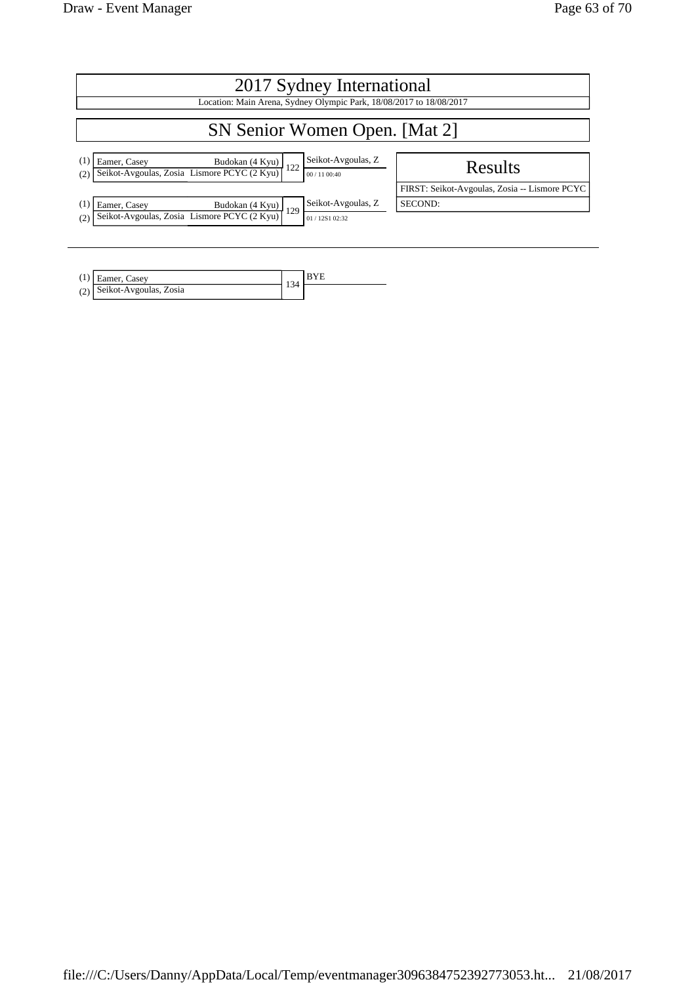| 2017 Sydney International                                                                                                                   |                                               |  |  |  |  |  |
|---------------------------------------------------------------------------------------------------------------------------------------------|-----------------------------------------------|--|--|--|--|--|
| Location: Main Arena, Sydney Olympic Park, 18/08/2017 to 18/08/2017                                                                         |                                               |  |  |  |  |  |
| SN Senior Women Open. [Mat 2]                                                                                                               |                                               |  |  |  |  |  |
| Seikot-Avgoulas, Z<br>Eamer, Casey<br>Eamer, Casey<br>Seikot-Avgoulas, Zosia<br>Lismore PCYC (2 Kyu)<br>122<br>(2)<br>00 / 11 00:40         | Results                                       |  |  |  |  |  |
|                                                                                                                                             | FIRST: Seikot-Avgoulas, Zosia -- Lismore PCYC |  |  |  |  |  |
| Seikot-Avgoulas, Z<br>Eamer, Casey<br>Eamer, Casey<br>Seikot-Avgoulas, Zosia Lismore PCYC (2 Kyu)<br><sup>129</sup><br>(2)<br>01/12S1 02:32 | SECOND:                                       |  |  |  |  |  |

| $(1)$ Eamer, Casev         | 34 |  |
|----------------------------|----|--|
| (2) Seikot-Avgoulas, Zosia |    |  |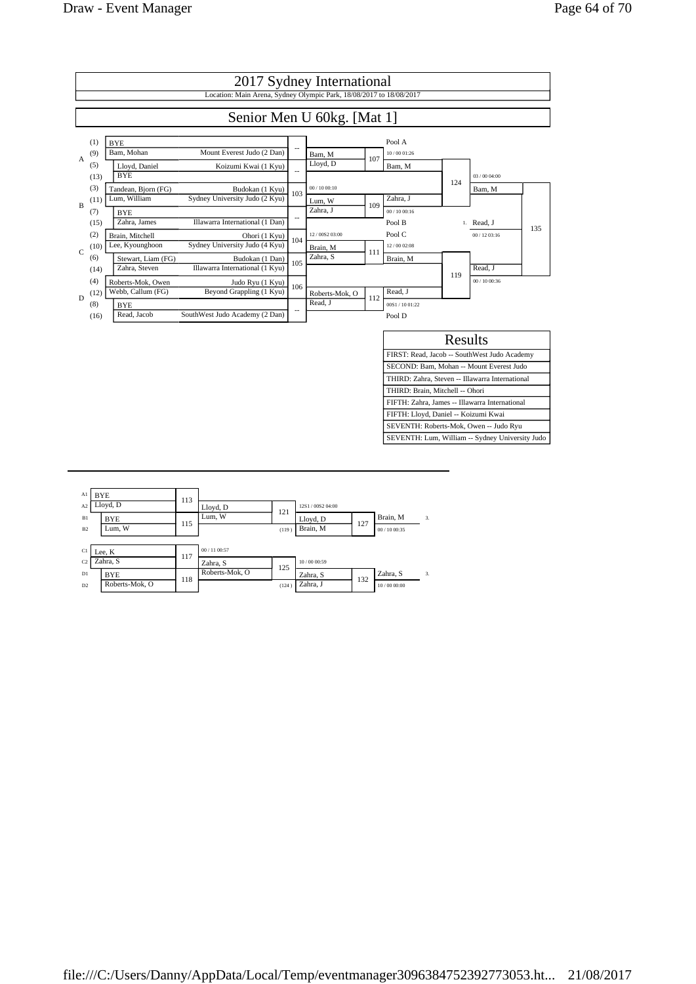

| Al             | <b>BYE</b>     |     |                |       |                   |     |               |    |
|----------------|----------------|-----|----------------|-------|-------------------|-----|---------------|----|
| A <sub>2</sub> | Lloyd, D       | 113 | Lloyd, D       |       | 12S1 / 00S2 04:00 |     |               |    |
| B1             | <b>BYE</b>     | 115 | Lum, W         | 121   | Lloyd, D          | 127 | Brain, M      | 3. |
| B <sub>2</sub> | Lum, W         |     |                | (119) | Brain, M          |     | 00 / 10 00:35 |    |
|                |                |     |                |       |                   |     |               |    |
| C1             | Lee, K         | 117 | 00 / 11 00:57  |       |                   |     |               |    |
| C <sub>2</sub> | Zahra, S       |     | Zahra, S       | 125   | 10/00 00:59       |     |               |    |
| D1             | <b>BYE</b>     | 118 | Roberts-Mok, O |       | Zahra, S          | 132 | Zahra, S      | 3. |
| D2             | Roberts-Mok, O |     |                | (124) | Zahra, J          |     | 10/00 00:00   |    |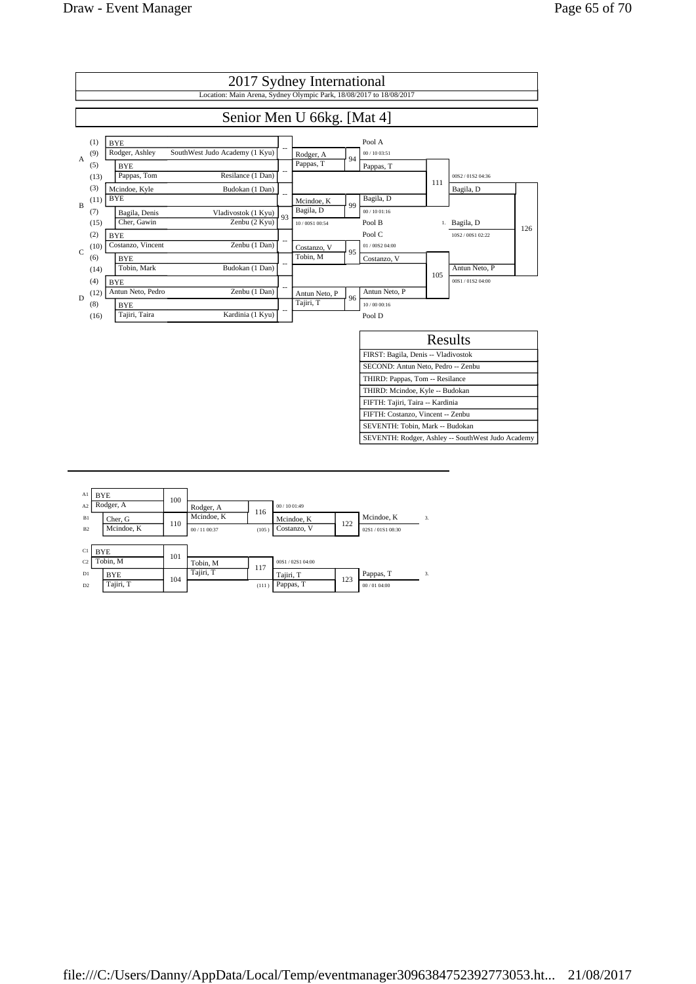

| A1<br>A <sub>2</sub> | <b>BYE</b><br>Rodger, A | 100 | Rodger, A                   | 116          | 00/1001:49                |     |                              |                  |
|----------------------|-------------------------|-----|-----------------------------|--------------|---------------------------|-----|------------------------------|------------------|
| B1<br>B2             | Cher, G<br>Mcindoe, K   | 110 | Mcindoe, K<br>00 / 11 00:37 | (105)        | Mcindoe, K<br>Costanzo, V | 122 | Mcindoe, K<br>02S1/01S108:30 | $\overline{3}$ . |
| C1<br>C <sub>2</sub> | <b>BYE</b><br>Tobin, M  | 101 | Tobin, M                    |              | 00S1/02S104:00            |     |                              |                  |
| D1<br>D2             | <b>BYE</b><br>Tajiri, T | 104 | Tajiri, T                   | 117<br>(111) | Tajiri, T<br>Pappas, T    | 123 | Pappas, T<br>00/0104:00      | 3.               |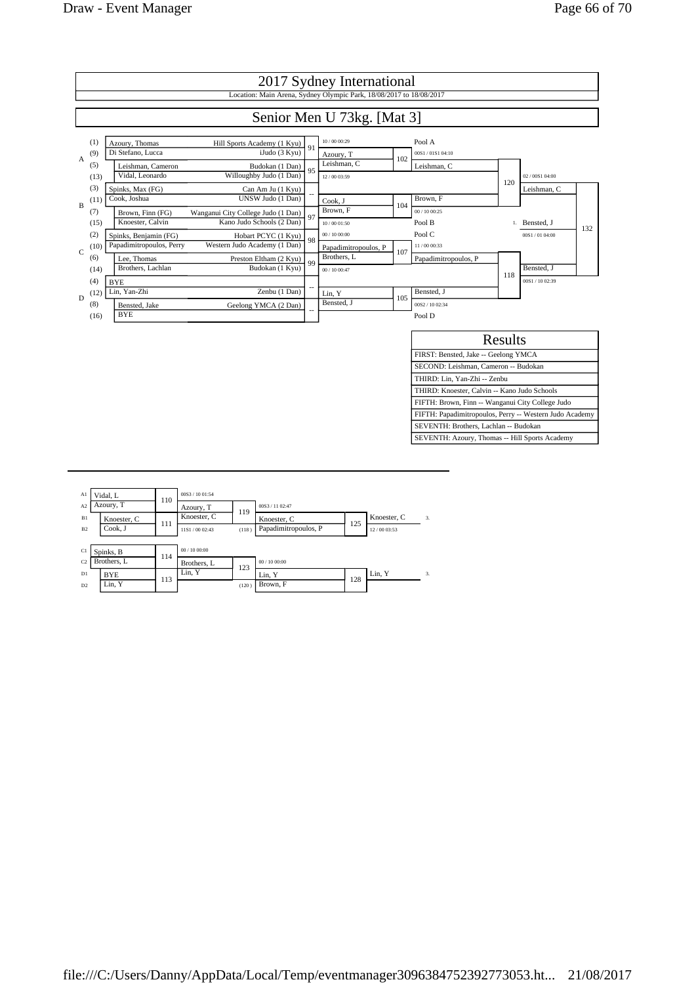

| Al             | Vidal, L    | 110 | 00S3 / 10 01:54 |       |                      |     |             |    |
|----------------|-------------|-----|-----------------|-------|----------------------|-----|-------------|----|
| A <sub>2</sub> | Azoury, T   |     | Azoury, T       | 119   | 00S3 / 11 02:47      |     |             |    |
| B1             | Knoester, C | 111 | Knoester, C     |       | Knoester, C          | 125 | Knoester, C | 3. |
| B <sub>2</sub> | Cook. J     |     | 11S1/00 02:43   | (118) | Papadimitropoulos, P |     | 12/00 03:53 |    |
|                |             |     |                 |       |                      |     |             |    |
| C1             | Spinks, B   | 114 | 00/1000:00      |       |                      |     |             |    |
| C2             | Brothers, L |     | Brothers, L     | 123   | 00/1000:00           |     |             |    |
| D1             | <b>BYE</b>  |     | Lin. Y          |       | Lin, Y               |     | Lin, Y      | 3. |
| D2             | Lin. Y      | 113 |                 | (120) | Brown, F             | 128 |             |    |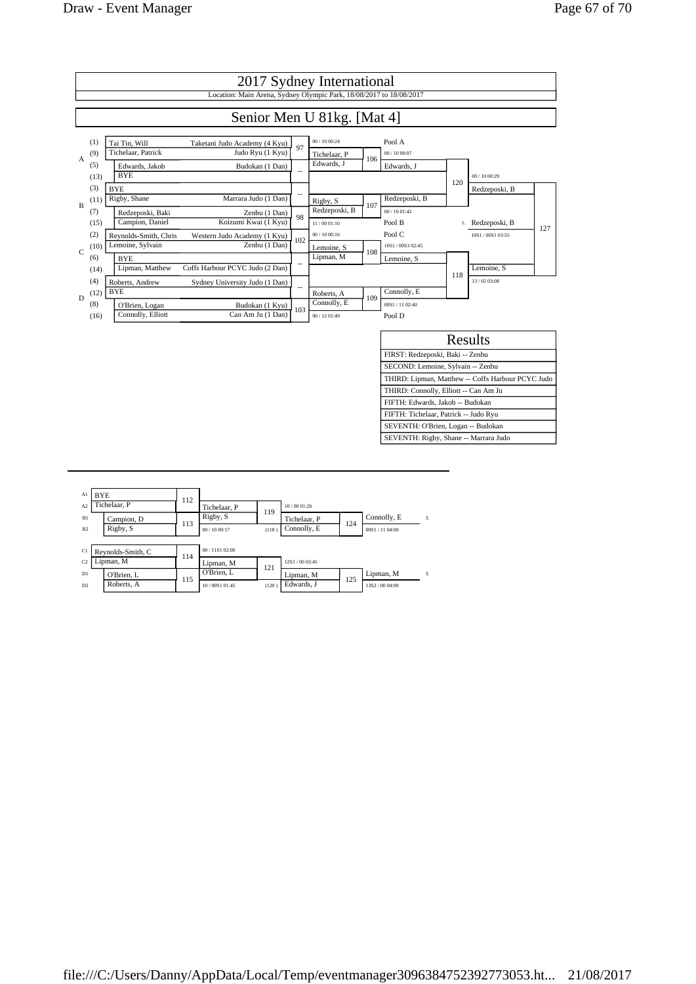

| Al             | <b>BYE</b><br>Tichelaar, P | 112 |                 |       |               |     |                 |    |
|----------------|----------------------------|-----|-----------------|-------|---------------|-----|-----------------|----|
| A2             |                            |     | Tichelaar, P    | 119   | 10/0001:26    |     |                 |    |
| B1             | Campion, D                 | 113 | Rigby, S        |       | Tichelaar, P  | 124 | Connolly, E     | 3. |
| B <sub>2</sub> | Rigby, S                   |     | 00/1000:17      | (118) | Connolly, E   |     | 00S1/1104:00    |    |
|                |                            |     |                 |       |               |     |                 |    |
| C1             | Reynolds-Smith, C          | 114 | 00 / 11S1 02:00 |       |               |     |                 |    |
| C <sub>2</sub> | Lipman, M                  |     | Lipman, M       | 121   | 12S1/00 03:45 |     |                 |    |
| D1             | O'Brien. L                 | 115 | O'Brien, L      |       | Lipman, M     | 125 | Lipman, M       | 3. |
| D2             | Roberts, A                 |     | 10/00S101:45    | (120) | Edwards, J    |     | 13S2 / 00 04:00 |    |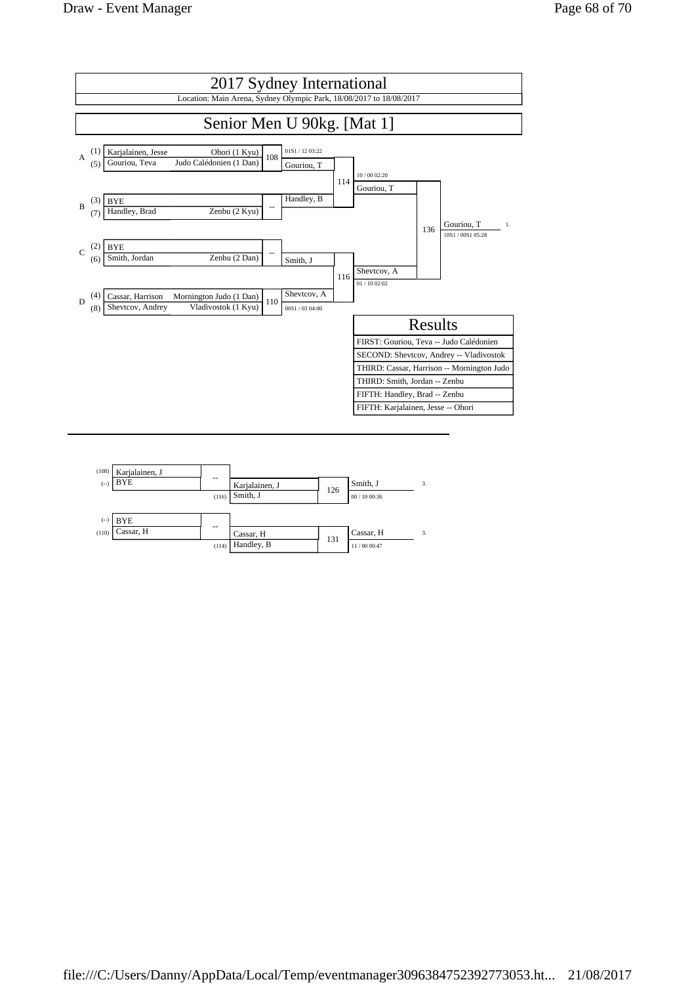

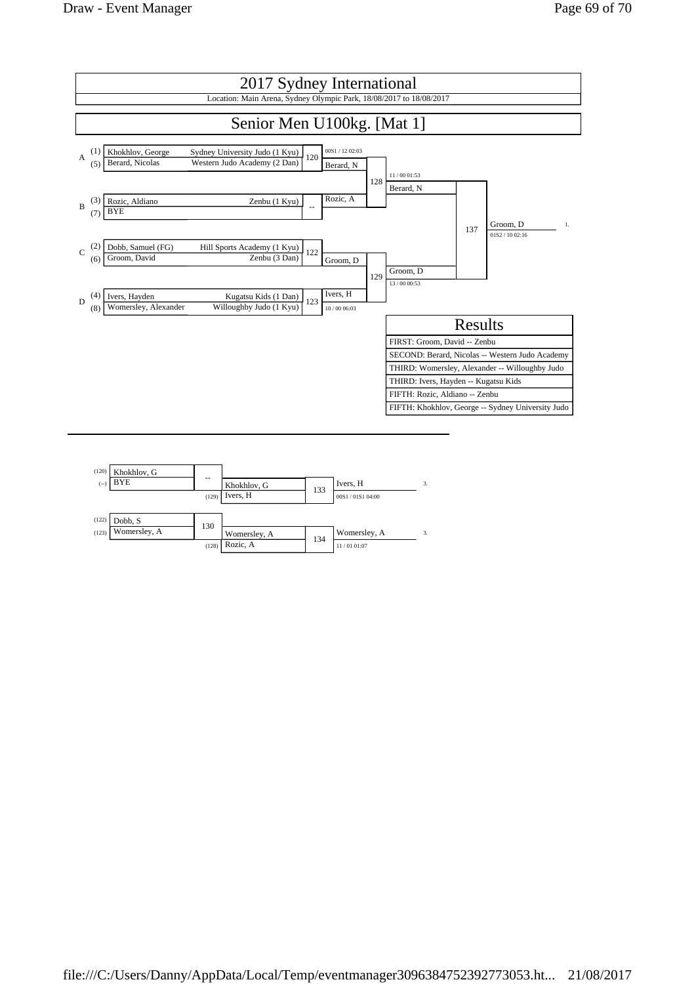

| (120)<br>$(-)$ | Khokhlov, G<br>BYE      | --    | Khokhlov, G  | 133 | Ivers, H        | 3. |
|----------------|-------------------------|-------|--------------|-----|-----------------|----|
|                |                         | (129) | Ivers, H     |     | 00S1/01S1 04:00 |    |
| (122)<br>(123) | Dobb, S<br>Womersley, A | 130   | Womersley, A | 134 | Womersley, A    | 3. |
|                |                         | (128) | Rozic, A     |     | 11/01 01:07     |    |